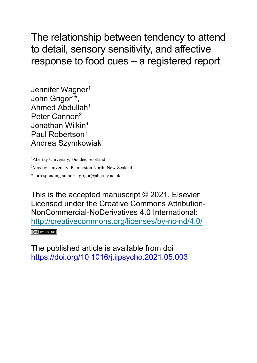The relationship between tendency to attend to detail, sensory sensitivity, and affective response to food cues – a registered report

Jennifer Wagner<sup>1</sup> John Grigor<sup>1\*</sup>, Ahmed Abdullah<sup>1</sup> Peter Cannon<sup>2</sup> Jonathan Wilkin<sup>1</sup> Paul Robertson<sup>1</sup> Andrea Szymkowiak<sup>1</sup>

<sup>1</sup>Abertay University, Dundee, Scotland <sup>2</sup>Massey University, Palmerston North, New Zealand \*corresponding author: j.grigor@abertay.ac.uk

This is the accepted manuscript © 2021, Elsevier Licensed under the Creative Commons Attribution-NonCommercial-NoDerivatives 4.0 International: <http://creativecommons.org/licenses/by-nc-nd/4.0/>  $(C<sub>c</sub>)$  BY-NC-ND

The published article is available from doi <https://doi.org/10.1016/j.ijpsycho.2021.05.003>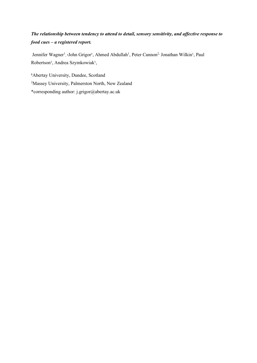# *The relationship between tendency to attend to detail, sensory sensitivity, and affective response to food cues – a registered report.*

Jennifer Wagner<sup>1</sup>, \*John Grigor<sup>1</sup>, Ahmed Abdullah<sup>1</sup>, Peter Cannon<sup>2,</sup> Jonathan Wilkin<sup>1</sup>, Paul Robertson<sup>1</sup>, Andrea Szymkowiak<sup>1</sup>,

<sup>1</sup>Abertay University, Dundee, Scotland

<sup>2</sup>Massey University, Palmerston North, New Zealand

\*corresponding author: j.grigor@abertay.ac.uk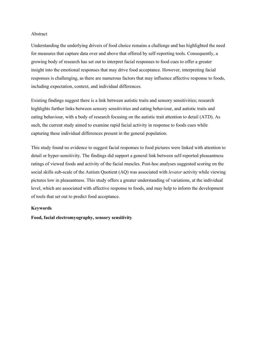#### Abstract

Understanding the underlying drivers of food choice remains a challenge and has highlighted the need for measures that capture data over and above that offered by self-reporting tools. Consequently, a growing body of research has set out to interpret facial responses to food cues to offer a greater insight into the emotional responses that may drive food acceptance. However, interpreting facial responses is challenging, as there are numerous factors that may influence affective response to foods, including expectation, context, and individual differences.

Existing findings suggest there is a link between autistic traits and sensory sensitivities; research highlights further links between sensory sensitivities and eating behaviour, and autistic traits and eating behaviour, with a body of research focusing on the autistic trait attention to detail (ATD). As such, the current study aimed to examine rapid facial activity in response to foods cues while capturing these individual differences present in the general population.

This study found no evidence to suggest facial responses to food pictures were linked with attention to detail or hyper-sensitivity. The findings did support a general link between self-reported pleasantness ratings of viewed foods and activity of the facial muscles. Post-hoc analyses suggested scoring on the social skills sub-scale of the Autism Quotient (AQ) was associated with *levator* activity while viewing pictures low in pleasantness. This study offers a greater understanding of variations, at the individual level, which are associated with affective response to foods, and may help to inform the development of tools that set out to predict food acceptance.

#### **Keywords**

**Food, facial electromyography, sensory sensitivity**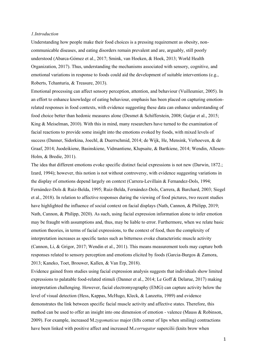#### *1.Introduction*

Understanding how people make their food choices is a pressing requirement as obesity, noncommunicable diseases, and eating disorders remain prevalent and are, arguably, still poorly understood (Abarca-Gómez et al., 2017; Smink, van Hoeken, & Hoek, 2013; World Health Organization, 2017). Thus, understanding the mechanisms associated with sensory, cognitive, and emotional variations in response to foods could aid the development of suitable interventions (e.g., Roberts, Tchanturia, & Treasure, 2013).

Emotional processing can affect sensory perception, attention, and behaviour (Vuilleumier, 2005). In an effort to enhance knowledge of eating behaviour, emphasis has been placed on capturing emotionrelated responses in food contexts, with evidence suggesting these data can enhance understanding of food choice better than hedonic measures alone (Desmet & Schifferstein, 2008; Gutjar et al., 2015; King & Meiselman, 2010). With this in mind, many researchers have turned to the examination of facial reactions to provide some insight into the emotions evoked by foods, with mixed levels of success (Danner, Sidorkina, Joechl, & Duerrschmid, 2014; de Wijk, He, Mensink, Verhoeven, & de Graaf, 2014; Juodeikiene, Basinskiene, Vidmantiene, Klupsaite, & Bartkiene, 2014; Wendin, Allesen-Holm, & Bredie, 2011).

The idea that different emotions evoke specific distinct facial expressions is not new (Darwin, 1872.; Izard, 1994); however, this notion is not without controversy, with evidence suggesting variations in the display of emotions depend largely on context (Carrera-Levillain & Fernandez-Dols, 1994; Fernández-Dols & Ruiz-Belda, 1995; Ruiz-Belda, Fernández-Dols, Carrera, & Barchard, 2003; Siegel et al., 2018). In relation to affective responses during the viewing of food pictures, two recent studies have highlighted the influence of social context on facial displays (Nath, Cannon, & Philipp, 2019; Nath, Cannon, & Philipp, 2020). As such, using facial expression information alone to infer emotion may be fraught with assumptions and, thus, may be liable to error. Furthermore, when we relate basic emotion theories, in terms of facial expressions, to the context of food, then the complexity of interpretation increases as specific tastes such as bitterness evoke characteristic muscle activity (Cannon, Li, & Grigor, 2017; Wendin et al., 2011). This means measurement tools may capture both responses related to sensory perception and emotions elicited by foods (Garcia-Burgos & Zamora, 2013; Kaneko, Toet, Brouwer, Kallen, & Van Erp, 2018).

Evidence gained from studies using facial expression analysis suggests that individuals show limited expressions to palatable food-related stimuli (Danner et al., 2014; Le Goff & Delarue, 2017) making interpretation challenging. However, facial electromyography (EMG) can capture activity below the level of visual detection (Hess, Kappas, McHugo, Kleck, & Lanzetta, 1989) and evidence demonstrates the link between specific facial muscle activity and affective states. Therefore, this method can be used to offer an insight into one dimension of emotion - valence (Mauss & Robinson, 2009). For example, increased M.*zygomaticus* major (lifts corner of lips when smiling) contractions have been linked with positive affect and increased M.*corrugator* supercilii (knits brow when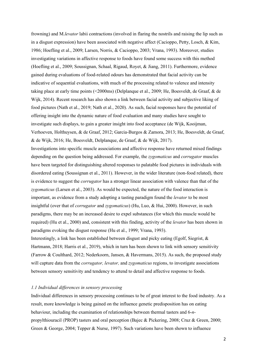frowning) and M.*levator* labii contractions (involved in flaring the nostrils and raising the lip such as in a disgust expression) have been associated with negative affect (Cacioppo, Petty, Losch, & Kim, 1986; Hoefling et al., 2009; Larsen, Norris, & Cacioppo, 2003; Vrana, 1993). Moreover, studies investigating variations in affective response to foods have found some success with this method (Hoefling et al., 2009; Soussignan, Schaal, Rigaud, Royet, & Jiang, 2011). Furthermore, evidence gained during evaluations of food-related odours has demonstrated that facial activity can be indicative of sequential evaluations, with much of the processing related to valence and intensity taking place at early time points (<2000ms) (Delplanque et al., 2009; He, Boesveldt, de Graaf, & de Wijk, 2014). Recent research has also shown a link between facial activity and subjective liking of food pictures (Nath et al., 2019; Nath et al., 2020). As such, facial responses have the potential of offering insight into the dynamic nature of food evaluation and many studies have sought to investigate such displays, to gain a greater insight into food acceptance (de Wijk, Kooijman, Verhoeven, Holthuysen, & de Graaf, 2012; Garcia-Burgos & Zamora, 2013; He, Boesveldt, de Graaf, & de Wijk, 2016; He, Boesveldt, Delplanque, de Graaf, & de Wijk, 2017). Investigations into specific muscle associations and affective response have returned mixed findings depending on the question being addressed. For example, the *zygomaticus* and *corrugator* muscles have been targeted for distinguishing altered responses to palatable food pictures in individuals with disordered eating (Soussignan et al., 2011). However, in the wider literature (non-food related), there is evidence to suggest the *corrugator* has a stronger linear association with valence than that of the

*zygomaticus* (Larsen et al., 2003). As would be expected, the nature of the food interaction is important, as evidence from a study adopting a tasting paradigm found the *levator* to be most insightful (over that of *corrugator* and *zygomaticus*) (Hu, Luo, & Hui, 2000). However, in such paradigms, there may be an increased desire to expel substances (for which this muscle would be required) (Hu et al., 2000) and, consistent with this finding, activity of the *levator* has been shown in paradigms evoking the disgust response (Hu et al., 1999; Vrana, 1993).

Interestingly, a link has been established between disgust and picky eating (Egolf, Siegrist, & Hartmann, 2018; Harris et al., 2019), which in turn has been shown to link with sensory sensitivity (Farrow & Coulthard, 2012; Nederkoorn, Jansen, & Havermans, 2015). As such, the proposed study will capture data from the *corrugator, levator,* and *zygomaticus* regions, to investigate associations between sensory sensitivity and tendency to attend to detail and affective response to foods.

#### *1.1 Individual differences in sensory processing*

Individual differences in sensory processing continues to be of great interest to the food industry. As a result, more knowledge is being gained on the influence genetic predisposition has on eating behaviour, including the examination of relationships between thermal tasters and 6-*n*propylthiouracil (PROP) tasters and oral perception (Bajec & Pickering, 2008; Cruz & Green, 2000; Green & George, 2004; Tepper & Nurse, 1997). Such variations have been shown to influence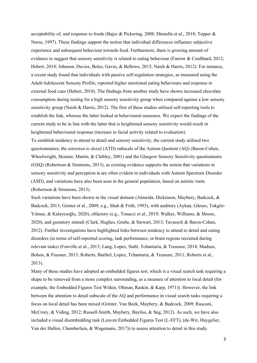acceptability of, and response to foods (Bajec & Pickering, 2008; Dinnella et al., 2018; Tepper & Nurse, 1997). These findings support the notion that individual differences influence subjective experience and subsequent behaviour towards food. Furthermore, there is growing amount of evidence to suggest that sensory sensitivity is related to eating behaviour (Farrow & Coulthard, 2012; Hebert, 2018; Johnson, Davies, Boles, Gavin, & Bellows, 2015; Naish & Harris, 2012). For instance, a recent study found that individuals with passive self-regulation strategies, as measured using the Adult/Adolescent Sensory Profile, reported higher emotional eating behaviours and response to external food cues (Hebert, 2018). The findings from another study have shown increased chocolate consumption during testing for a high sensory sensitivity group when compared against a low sensory sensitivity group (Naish & Harris, 2012). The first of these studies utilised self-reporting tools to establish the link, whereas the latter looked at behavioural measures. We expect the findings of the current study to be in line with the latter that is heightened sensory sensitivity would result in heightened behavioural response (increase in facial activity related to evaluation). To establish tendency to attend to detail and sensory sensitivity, the current study utilised two questionnaires; the *attention to detail* (ATD) subscale of the Autism Quotient (AQ) (Baron-Cohen,

Wheelwright, Skinner, Martin, & Clubley, 2001) and the Glasgow Sensory Sensitivity questionnaire (GSQ) (Robertson & Simmons, 2013), as existing evidence supports the notion that variations in sensory sensitivity and perception is are often evident in individuals with Autism Spectrum Disorder (ASD), and variations have also been seen in the general population, based on autistic traits (Robertson & Simmons, 2013).

Such variations have been shown in the visual domain (Almeida, Dickinson, Maybery, Badcock, & Badcock, 2013; Grinter et al., 2009; e.g., Shah & Frith, 1993), with auditory (Aykan, Gürses, Tokgöz-Yılmaz, & Kalaycıoğlu, 2020), olfactory (e.g., Tonacci et al., 2019; Walker, Williams, & Moore, 2020), and gustatory stimuli (Clark, Hughes, Grube, & Stewart, 2013; Tavassoli & Baron-Cohen, 2012). Further investigations have highlighted links between tendency to attend to detail and eating disorders (in terms of self-reported scoring, task performance, or brain regions recruited during relevant tasks) (Fonville et al., 2013; Lang, Lopez, Stahl, Tchanturia, & Treasure, 2014; Madsen, Bohon, & Feusner, 2013; Roberts, Barthel, Lopez, Tchanturia, & Treasure, 2011; Roberts et al., 2013).

Many of these studies have adopted an embedded figures test, which is a visual search task requiring a shape to be removed from a more complex surrounding, as a measure of attention to local detail (for example, the Embedded Figures Test Witkin, Oltman, Raskin, & Karp, 1971)). However, the link between the attention to detail subscale of the AQ and performance in visual search tasks requiring a focus on local detail has been mixed (Grinter, Van Beek, Maybery, & Badcock, 2009; Rusconi, McCrory, & Viding, 2012; Russell-Smith, Maybery, Bayliss, & Sng, 2012). As such, we have also included a visual disembedding task (Leuven Embedded Figures Test (L-EFT), (de-Wit, Huygelier, Van der Hallen, Chamberlain, & Wagemans, 2017)) to assess attention to detail in this study.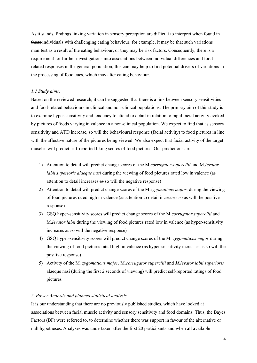As it stands, findings linking variation in sensory perception are difficult to interpret when found in those individuals with challenging eating behaviour; for example, it may be that such variations manifest as a result of the eating behaviour, or they may be risk factors. Consequently, there is a requirement for further investigations into associations between individual differences and foodrelated responses in the general population; this earn may help to find potential drivers of variations in the processing of food cues, which may alter eating behaviour.

#### *1.2 Study aims.*

Based on the reviewed research, it can be suggested that there is a link between sensory sensitivities and food-related behaviours in clinical and non-clinical populations. The primary aim of this study is to examine hyper-sensitivity and tendency to attend to detail in relation to rapid facial activity evoked by pictures of foods varying in valence in a non-clinical population. We expect to find that as sensory sensitivity and ATD increase, so will the behavioural response (facial activity) to food pictures in line with the affective nature of the pictures being viewed. We also expect that facial activity of the target muscles will predict self-reported liking scores of food pictures. Our predictions are:

- 1) Attention to detail will predict change scores of the M.*corrugator supercilii* and M.*levator labii superioris alaeque nasi* during the viewing of food pictures rated low in valence (as attention to detail increases as so will the negative response)
- 2) Attention to detail will predict change scores of the M.*zygomaticus major*, during the viewing of food pictures rated high in valence (as attention to detail increases so as will the positive response)
- 3) GSQ hyper-sensitivity scores will predict change scores of the M.*corrugator supercilii* and M.*levator labii* during the viewing of food pictures rated low in valence (as hyper-sensitivity increases as so will the negative response)
- 4) GSQ hyper-sensitivity scores will predict change scores of the M. *zygomaticus major* during the viewing of food pictures rated high in valence (as hyper-sensitivity increases as so will the positive response)
- 5) Activity of the M*. zygomaticus major*, M.*corrugator supercilii* and *M.levator labii superioris* alaeque nasi (during the first 2 seconds of viewing) will predict self-reported ratings of food pictures

## *2. Power Analysis and planned statistical analysis.*

It is our understanding that there are no previously published studies, which have looked at associations between facial muscle activity and sensory sensitivity and food domains. Thus, the Bayes Factors (BF) were referred to, to determine whether there was support in favour of the alternative or null hypotheses. Analyses was undertaken after the first 20 participants and when all available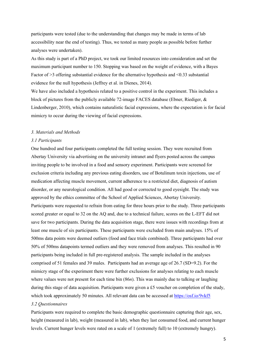participants were tested (due to the understanding that changes may be made in terms of lab accessibility near the end of testing). Thus, we tested as many people as possible before further analyses were undertaken).

As this study is part of a PhD project, we took our limited resources into consideration and set the maximum participant number to 150. Stopping was based on the weight of evidence, with a Bayes Factor of  $\geq$ 3 offering substantial evidence for the alternative hypothesis and  $\leq$ 0.33 substantial evidence for the null hypothesis (Jeffrey et al. in Dienes, 2014).

We have also included a hypothesis related to a positive control in the experiment. This includes a block of pictures from the publicly available 72-image FACES database (Ebner, Riediger, & Lindenberger, 2010), which contains naturalistic facial expressions, where the expectation is for facial mimicry to occur during the viewing of facial expressions.

#### *3. Materials and Methods*

#### *3.1 Participants*

One hundred and four participants completed the full testing session. They were recruited from Abertay University via advertising on the university intranet and flyers posted across the campus inviting people to be involved in a food and sensory experiment. Participants were screened for exclusion criteria including any previous eating disorders, use of Botulinum toxin injections, use of medication affecting muscle movement, current adherence to a restricted diet, diagnosis of autism disorder, or any neurological condition. All had good or corrected to good eyesight. The study was approved by the ethics committee of the School of Applied Sciences, Abertay University. Participants were requested to refrain from eating for three hours prior to the study. Three participants scored greater or equal to 32 on the AQ and, due to a technical failure, scores on the L-EFT did not save for two participants. During the data acquisition stage, there were issues with recordings from at least one muscle of six participants. These participants were excluded from main analyses. 15% of 500ms data points were deemed outliers (food and face trials combined). Three participants had over 50% of 500ms datapoints termed outliers and they were removed from analyses. This resulted in 90 participants being included in full pre-registered analysis. The sample included in the analyses comprised of 51 females and 39 males. Participants had an average age of 26.7 (SD=9.2). For the mimicry stage of the experiment there were further exclusions for analyses relating to each muscle where values were not present for each time bin (86*n*). This was mainly due to talking or laughing during this stage of data acquisition. Participants were given a £5 voucher on completion of the study, which took approximately 50 minutes. All relevant data can be accessed at https://osf.jo/9vkf5

## *3.2 Questionnaires*

Participants were required to complete the basic demographic questionnaire capturing their age, sex, height (measured in lab), weight (measured in lab), when they last consumed food, and current hunger levels. Current hunger levels were rated on a scale of 1 (extremely full) to 10 (extremely hungry).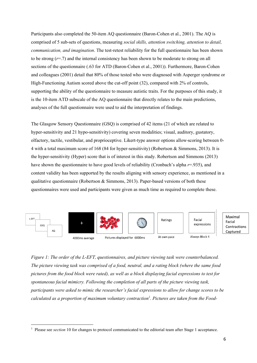Participants also completed the 50-item AQ questionnaire (Baron-Cohen et al., 2001). The AQ is comprised of 5 sub-sets of questions, measuring *social skills, attention switching, attention to detail, communication, and imagination*. The test-retest reliability for the full questionnaire has been shown to be strong (*r*=.7) and the internal consistency has been shown to be moderate to strong on all sections of the questionnaire (.63 for ATD (Baron-Cohen et al., 2001)). Furthermore, Baron-Cohen and colleagues (2001) detail that 80% of those tested who were diagnosed with Asperger syndrome or High-Functioning Autism scored above the cut-off point (32), compared with 2% of controls, supporting the ability of the questionnaire to measure autistic traits. For the purposes of this study, it is the 10-item ATD subscale of the AQ questionnaire that directly relates to the main predictions, analyses of the full questionnaire were used to aid the interpretation of findings.

The Glasgow Sensory Questionnaire (GSQ) is comprised of 42 items (21 of which are related to hyper-sensitivity and 21 hypo-sensitivity) covering seven modalities; visual, auditory, gustatory, olfactory, tactile, vestibular, and proprioceptive. Likert-type answer options allow scoring between 0- 4 with a total maximum score of 168 (84 for hyper-sensitivity) (Robertson & Simmons, 2013). It is the hyper-sensitivity (Hyper) score that is of interest in this study. Robertson and Simmons (2013) have shown the questionnaire to have good levels of reliability (Cronbach's alpha *r*=.935), and content validity has been supported by the results aligning with sensory experience, as mentioned in a qualitative questionnaire (Robertson  $\&$  Simmons, 2013). Paper-based versions of both these questionnaires were used and participants were given as much time as required to complete these.



*Figure 1: The order of the L-EFT, questionnaires, and picture viewing task were counterbalanced. The picture viewing task was comprised of a food, neutral, and a rating block (where the same food pictures from the food block were rated), as well as a block displaying facial expressions to test for spontaneous facial mimicry. Following the completion of all parts of the picture viewing task, participants were asked to mimic the researcher's facial expressions to allow for change scores to be calculated as a proportion of maximum voluntary contraction<sup>1</sup> . Pictures are taken from the Food-*

<sup>&</sup>lt;sup>1</sup> Please see *section* 10 for changes to protocol communicated to the editorial team after Stage 1 acceptance.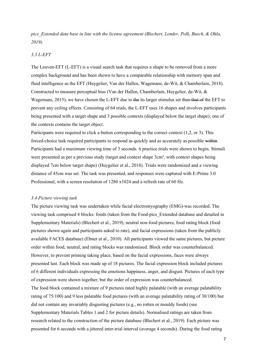*pics\_Extended data base in line with the license agreement (Blechert, Lender, Polk, Busch, & Ohla, 2019).* 

## *3.3 L-EFT*

The Leuven-EFT (L-EFT) is a visual search task that requires a shape to be removed from a more complex background and has been shown to have a comparable relationship with memory span and fluid intelligence as the EFT (Huygelier, Van der Hallen, Wagemans, de-Wit, & Chamberlain, 2018). Constructed to measure perceptual bias (Van der Hallen, Chamberlain, Huygelier, de-Wit, & Wagemans, 2015), we have chosen the L-EFT due to the its larger stimulus set than that of the EFT to prevent any ceiling effects. Consisting of 64 trials, the L-EFT uses 16 shapes and involves participants being presented with a target shape and 3 possible contexts (displayed below the target shape); one of the contexts contains the target object.

Participants were required to click a button corresponding to the correct context (1,2, or 3). This forced-choice task required participants to respond as quickly and as accurately as possible within. Participants had a maximum viewing time of 3 seconds. 6 practice trials were shown to begin. Stimuli were presented as per a previous study (target and context shape 3cm², with context shapes being displayed 7cm below target shape) (Huygelier et al., 2018). Trials were randomized and a viewing distance of 45cm was set. The task was presented, and responses were captured with E-Prime 3.0 Professional, with a screen resolution of 1280 x1024 and a refresh rate of 60 Hz.

#### *3.4 Picture viewing task*

The picture viewing task was undertaken while facial electromyography (EMG) was recorded. The viewing task comprised 4 blocks: foods (taken from the Food-pics\_Extended database and detailed in Supplementary Materials) (Blechert et al., 2019), neutral non-food pictures, food rating block (food pictures shown again and participants asked to rate), and facial expressions (taken from the publicly available FACES database) (Ebner et al., 2010). All participants viewed the same pictures, but picture order within food, neutral, and rating blocks was randomised. Block order was counterbalanced. However, to prevent priming taking place, based on the facial expressions, faces were always presented last. Each block was made up of 18 pictures. The facial expression block included pictures of 6 different individuals expressing the emotions happiness, anger, and disgust. Pictures of each type of expression were shown together, but the order of expression was counterbalanced.

The food block contained a mixture of 9 pictures rated highly palatable (with an average palatability rating of 75/100) and 9 less palatable food pictures (with an average palatability rating of 30/100) but did not contain any invariably disgusting pictures (e.g., no rotten or mouldy foods) (see Supplementary Materials Tables 1 and 2 for picture details). Normalised ratings are taken from research related to the construction of the picture database (Blechert et al., 2019). Each picture was presented for 6 seconds with a jittered inter-trial interval (average 4 seconds). During the food rating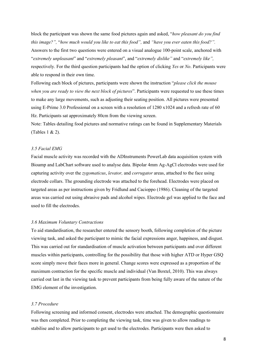block the participant was shown the same food pictures again and asked, "*how pleasant do you find this image?",* "*how much would you like to eat this food",* and *"have you ever eaten this food?".*  Answers to the first two questions were entered on a visual analogue 100-point scale, anchored with "*extremely unpleasant*" and "*extremely pleasant*", and "*extremely dislike"* and "*extremely like",*  respectively. For the third question participants had the option of clicking *Yes* or *No*. Participants were able to respond in their own time.

Following each block of pictures, participants were shown the instruction "*please click the mouse when you are ready to view the next block of pictures*". Participants were requested to use these times to make any large movements, such as adjusting their seating position. All pictures were presented using E-Prime 3.0 Professional on a screen with a resolution of 1280 x1024 and a refresh rate of 60 Hz. Participants sat approximately 80cm from the viewing screen.

Note: Tables detailing food pictures and normative ratings can be found in Supplementary Materials (Tables 1 & 2).

## *3.5 Facial EMG*

Facial muscle activity was recorded with the ADInstruments PowerLab data acquisition system with Bioamp and LabChart software used to analyse data. Bipolar 4mm Ag-AgCl electrodes were used for capturing activity over the *zygomaticus*, *levator,* and *corrugator* areas, attached to the face using electrode collars. The grounding electrode was attached to the forehead. Electrodes were placed on targeted areas as per instructions given by Fridlund and Cacioppo (1986). Cleaning of the targeted areas was carried out using abrasive pads and alcohol wipes. Electrode gel was applied to the face and used to fill the electrodes.

#### *3.6 Maximum Voluntary Contractions*

To aid standardisation, the researcher entered the sensory booth, following completion of the picture viewing task, and asked the participant to mimic the facial expressions anger, happiness, and disgust. This was carried out for standardisation of muscle activation between participants and over different muscles within participants, controlling for the possibility that those with higher ATD or Hyper GSQ score simply move their faces more in general. Change scores were expressed as a proportion of the maximum contraction for the specific muscle and individual (Van Boxtel, 2010). This was always carried out last in the viewing task to prevent participants from being fully aware of the nature of the EMG element of the investigation.

## *3.7 Procedure*

Following screening and informed consent, electrodes were attached. The demographic questionnaire was then completed. Prior to completing the viewing task, time was given to allow readings to stabilise and to allow participants to get used to the electrodes. Participants were then asked to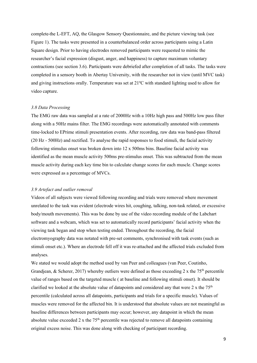complete the L-EFT, AQ, the Glasgow Sensory Questionnaire, and the picture viewing task (see Figure 1). The tasks were presented in a counterbalanced order across participants using a Latin Square design. Prior to having electrodes removed participants were requested to mimic the researcher's facial expression (disgust, anger, and happiness) to capture maximum voluntary contractions (see section 3.6). Participants were debriefed after completion of all tasks. The tasks were completed in a sensory booth in Abertay University, with the researcher not in view (until MVC task) and giving instructions orally. Temperature was set at 21ºC with standard lighting used to allow for video capture.

#### *3.8 Data Processing*

The EMG raw data was sampled at a rate of 2000Hz with a 10Hz high pass and 500Hz low pass filter along with a 50Hz mains filter. The EMG recordings were automatically annotated with comments time-locked to EPrime stimuli presentation events. After recording, raw data was band-pass filtered (20 Hz - 500Hz) and rectified. To analyse the rapid responses to food stimuli, the facial activity following stimulus onset was broken down into 12 x 500ms bins. Baseline facial activity was identified as the mean muscle activity 500ms pre-stimulus onset. This was subtracted from the mean muscle activity during each key time bin to calculate change scores for each muscle. Change scores were expressed as a percentage of MVCs.

## *3.9 Artefact and outlier removal*

Videos of all subjects were viewed following recording and trials were removed where movement unrelated to the task was evident (electrode wires hit, coughing, talking, non-task related, or excessive body/mouth movements). This was be done by use of the video recording module of the Labchart software and a webcam, which was set to automatically record participants' facial activity when the viewing task began and stop when testing ended. Throughout the recording, the facial electromyography data was notated with pre-set comments, synchronised with task events (such as stimuli onset etc.). Where an electrode fell off it was re-attached and the affected trials excluded from analyses.

We stated we would adopt the method used by van Peer and colleagues (van Peer, Coutinho, Grandjean, & Scherer, 2017) whereby outliers were defined as those exceeding 2 x the  $75<sup>th</sup>$  percentile value of ranges based on the targeted muscle ( at baseline and following stimuli onset). It should be clarified we looked at the absolute value of datapoints and considered any that were  $2 \times$  the  $75<sup>th</sup>$ percentile (calculated across all datapoints, participants and trials for a specific muscle). Values of muscles were removed for the affected bin. It is understood that absolute values are not meaningful as baseline differences between participants may occur; however, any datapoint in which the mean absolute value exceeded 2 x the  $75<sup>th</sup>$  percentile was rejected to remove all datapoints containing original excess noise. This was done along with checking of participant recording.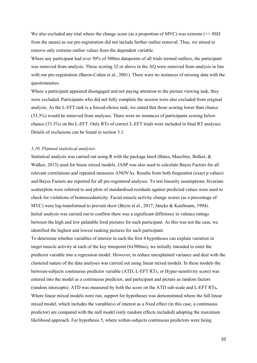We also excluded any trial where the change score (as a proportion of MVC) was extreme (+/- 8SD) from the mean) as our pre-registration did not include further outlier removal. Thus, we aimed to remove only extreme outlier values from the dependent variable.

Where any participant had over 50% of 500ms datapoints of all trials termed outliers, the participant was removed from analysis. Those scoring 32 or above in the AQ were removed from analysis in line with our pre-registration (Baron-Cohen et al., 2001). There were no instances of missing data with the questionnaires.

Where a participant appeared disengaged and not paying attention to the picture viewing task, they were excluded. Participants who did not fully complete the session were also excluded from original analysis. As the L-EFT task is a forced-choice task, we stated that those scoring lower than chance (33.3%) would be removed from analyses. There were no instances of participants scoring below chance (33.3%) on the L-EFT. Only RTs of correct L-EFT trials were included in final RT analyses. Details of exclusions can be found in section 3.1.

### *3.10. Planned statistical analyses.*

Statistical analysis was carried out using R with the package lme4 (Bates, Maechler, Bolker, & Walker, 2015) used for linear mixed models. JASP was also used to calculate Bayes Factors for all relevant correlations and repeated measures ANOVAs. Results from both frequentist (exact p values) and Bayes Factors are reported for all pre-registered analyses. To test linearity assumptions, bivariate scatterplots were referred to and plots of standardised residuals against predicted values were used to check for violations of homoscedasticity. Facial muscle activity change scores (as a percentage of MVC) were log-transformed to prevent skew (Beyts et al., 2017; Jäncke & Kaufmann, 1994). Initial analysis was carried out to confirm there was a significant difference in valence ratings between the high and low palatable food pictures for each participant. As this was not the case, we identified the highest and lowest ranking pictures for each participant.

To determine whether variables of interest in each the first 4 hypotheses can explain variation in target muscle activity at each of the key timepoint (6x500ms), we initially intended to enter the predictor variable into a regression model. However, to reduce unexplained variance and deal with the clustered nature of the data analyses was carried out using linear mixed models. In these models the between-subjects continuous predictor variable (ATD, L-EFT RTs, or Hyper-sensitivity score) was entered into the model as a continuous predictor, and participant and picture as random factors (random intercepts). ATD was measured by both the score on the ATD sub-scale and L-EFT RTs*.*  Where linear mixed models were run, support for hypotheses was demonstrated where the full linear mixed model, which includes the variable(s) of interest as a fixed effect (in this case, a continuous predictor) are compared with the null model (only random effects included) adopting the maximum likelihood approach. For hypothesis 5, where within-subjects continuous predictors were being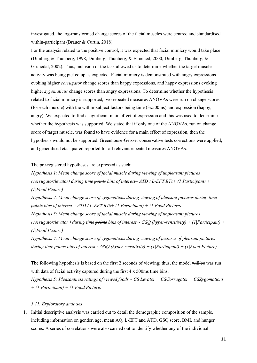investigated, the log-transformed change scores of the facial muscles were centred and standardised within-participant (Brauer & Curtin, 2018).

For the analysis related to the positive control, it was expected that facial mimicry would take place (Dimberg & Thunberg, 1998; Dimberg, Thunberg, & Elmehed, 2000; Dimberg, Thunberg, & Grunedal, 2002). Thus, inclusion of the task allowed us to determine whether the target muscle activity was being picked up as expected. Facial mimicry is demonstrated with angry expressions evoking higher *corrugator* change scores than happy expressions, and happy expressions evoking higher *zygomaticus* change scores than angry expressions. To determine whether the hypothesis related to facial mimicry is supported, two repeated measures ANOVAs were run on change scores (for each muscle) with the within-subject factors being time (3x500ms) and expression (happy, angry). We expected to find a significant main effect of expression and this was used to determine whether the hypothesis was supported. We stated that if only one of the ANOVAs, run on change score of target muscle, was found to have evidence for a main effect of expression, then the hypothesis would not be supported. Greenhouse-Geisser conservative tests corrections were applied, and generalised eta squared reported for all relevant repeated measures ANOVAs.

The pre-registered hypotheses are expressed as such:

*Hypothesis 1: Mean change score of facial muscle during viewing of unpleasant pictures (corrugator/levator) during time points bins of interest~ ATD / L-EFT RTs+ (1|Participant) + (1|Food Picture)*

*Hypothesis 2: Mean change score of zygomaticus during viewing of pleasant pictures during time points bins of interest ~ ATD / L-EFT RTs+ (1|Participant) + (1|Food Picture)*

*Hypothesis 3: Mean change score of facial muscle during viewing of unpleasant pictures (corrugator/levator ) during time points bins of interest ~ GSQ (hyper-sensitivity) + (1|Participant) + (1|Food Picture)*

*Hypothesis 4: Mean change score of zygomaticus during viewing of pictures of pleasant pictures during time points bins of interest ~ GSQ (hyper-sensitivity) + (1|Participant) + (1|Food Picture)* 

The following hypothesis is based on the first 2 seconds of viewing; thus, the model will be was run with data of facial activity captured during the first 4 x 500ms time bins. *Hypothesis 5: Pleasantness ratings of viewed foods ~ CS Levator + CSCorrugator + CSZygomaticus + (1|Participant) + (1|Food Picture).* 

## *3.11. Exploratory analyses*

1. Initial descriptive analysis was carried out to detail the demographic composition of the sample, including information on gender, age, mean AQ, L-EFT and ATD, GSQ score, BMI, and hunger scores. A series of correlations were also carried out to identify whether any of the individual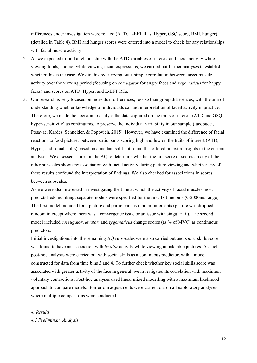differences under investigation were related (ATD, L-EFT RTs, Hyper, GSQ score, BMI, hunger) (detailed in Table 4). BMI and hunger scores were entered into a model to check for any relationships with facial muscle activity.

- 2. As we expected to find a relationship with the ATD variables of interest and facial activity while viewing foods, and not while viewing facial expressions, we carried out further analyses to establish whether this is the case. We did this by carrying out a simple correlation between target muscle activity over the viewing period (focusing on *corrugator* for angry faces and *zygomaticus* for happy faces) and scores on ATD, Hyper, and L-EFT RTs.
- 3. Our research is very focused on individual differences, less so than group differences, with the aim of understanding whether knowledge of individuals can aid interpretation of facial activity in practice. Therefore, we made the decision to analyse the data captured on the traits of interest (ATD and GSQ hyper-sensitivity) as continuums, to preserve the individual variability in our sample (Iacobucci, Posavac, Kardes, Schneider, & Popovich, 2015). However, we have examined the difference of facial reactions to food pictures between participants scoring high and low on the traits of interest (ATD, Hyper, and social skills) based on a median split but found this offered no extra insights to the current analyses. We assessed scores on the AQ to determine whether the full score or scores on any of the other subscales show any association with facial activity during picture viewing and whether any of these results confound the interpretation of findings. We also checked for associations in scores between subscales.

As we were also interested in investigating the time at which the activity of facial muscles most predicts hedonic liking, separate models were specified for the first 4x time bins (0-2000ms range). The first model included food picture and participant as random intercepts (picture was dropped as a random intercept where there was a convergence issue or an issue with singular fit). The second model included *corrugator*, *levator,* and *zygomaticus* change scores (as % of MVC) as continuous predictors.

Initial investigations into the remaining AQ sub-scales were also carried out and social skills score was found to have an association with *levator* activity while viewing unpalatable pictures. As such, post-hoc analyses were carried out with social skills as a continuous predictor, with a model constructed for data from time bins 3 and 4. To further check whether key social skills score was associated with greater activity of the face in general, we investigated its correlation with maximum voluntary contractions. Post-hoc analyses used linear mixed modelling with a maximum likelihood approach to compare models. Bonferroni adjustments were carried out on all exploratory analyses where multiple comparisons were conducted.

*4. Results 4.1 Preliminary Analysis*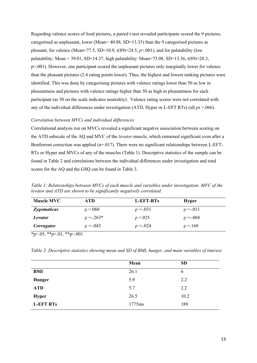Regarding valence scores of food pictures, a paired t-test revealed participants scored the 9 pictures, categorised as unpleasant, lower (Mean= 40.88, SD=13.35) than the 9 categorised pictures as pleasant, for valence (Mean=77.5, SD=10.9,  $t(89)=24.5$ ,  $p<0.01$ ), and for palatability (low palatability: Mean = 39.01, SD=14.37, high palatability: Mean=75.08, SD=13.36, *t*(89)=20.3, p<.001). However, one participant scored the unpleasant pictures only marginally lower for valence than the pleasant pictures (2.4 rating points lower). Thus, the highest and lowest ranking pictures were identified. This was done by categorising pictures with valence ratings lower than 50 as low in pleasantness and pictures with valence ratings higher than 50 as high in pleasantness for each participant (as 50 on the scale indicates neutrality). Valence rating scores were not correlated with any of the individual differences under investigation (ATD, Hyper or L-EFT RTs) (all *p*s >.066).

## *Correlation between MVCs and individual differences*

Correlational analysis run on MVCs revealed a significant negative association between scoring on the ATD subscale of the AQ and MVC of the *levator* muscle, which remained significant even after a Bonferroni correction was applied ( $\alpha$ =.017). There were no significant relationships between L-EFT-RTs or Hyper and MVCs of any of the muscles (Table 1). Descriptive statistics of the sample can be found in Table 2 and correlations between the individual differences under investigation and total scores for the AQ and the GSQ can be found in Table 3.

*Table 1: Relationships between MVCs of each muscle and variables under investigation. MVC of the levator and ATD are shown to be significantly negatively correlated.*

| <b>Muscle MVC</b>  | ATD            | L-EFT-RTs    | <b>Hyper</b>  |  |
|--------------------|----------------|--------------|---------------|--|
| <b>Zygomaticus</b> | $\rho = 0.060$ | $p = -031$   | $\rho = -011$ |  |
| <b>Levator</b>     | $p = -263*$    | $p = 0.025$  | $p = -068$    |  |
| <b>Corrugator</b>  | $p = -043$     | $p = -0.024$ | $\rho = 160$  |  |

 $*p<.05, **p<.01, **p<.001$ 

| Table 2: Descriptive statistics showing mean and SD of BMI, hunger, and main variables of interest. |  |  |  |  |
|-----------------------------------------------------------------------------------------------------|--|--|--|--|
|                                                                                                     |  |  |  |  |

|                  | Mean   | <b>SD</b> |
|------------------|--------|-----------|
| <b>BMI</b>       | 26.1   | 6         |
| <b>Hunger</b>    | 5.9    | 2.2       |
| <b>ATD</b>       | 5.7    | 2.2       |
| <b>Hyper</b>     | 26.5   | 10.2      |
| <b>L-EFT RTs</b> | 1775ms | 189       |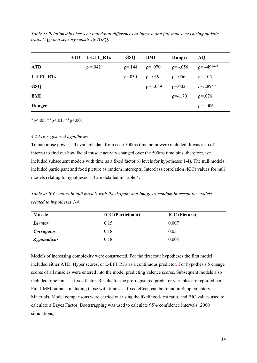*Table 3: Relationships between individual differences of interest and full scales measuring autistic traits (AQ) and sensory sensitivity (GSQ)*

|                  | ATD. | L-EFT RTs   | <b>GSQ</b>  | BMI           | <b>Hunger</b>  | AQ.             |
|------------------|------|-------------|-------------|---------------|----------------|-----------------|
| <b>ATD</b>       |      | $p = 0.042$ | $p = 144$   | $\rho = .070$ | $p = -.056$    | p=.449***       |
| <b>L-EFT RTs</b> |      |             | $r = 0.030$ | $p=.019$      | $p=.056$       | $r = -017$      |
| <b>GSQ</b>       |      |             |             | $p = -.089$   | $\rho = 0.002$ | $r = 289**$     |
| BMI              |      |             |             |               | $p = -170$     | $p=.076$        |
| <b>Hunger</b>    |      |             |             |               |                | $\rho = -0.006$ |

 $*p<.05$ ,  $*p<.01$ ,  $*p<.001$ 

## *4.2 Pre-registered hypotheses*

To maximise power, all available data from each 500ms time point were included. It was also of interest to find out how facial muscle activity changed over the 500ms time bins, therefore, we included subsequent models with time as a fixed factor (6 levels for hypotheses 1-4). The null models included participant and food picture as random intercepts. Interclass correlation *(*ICC) values for null models relating to hypotheses 1-4 are detailed in Table 4.

*Table 4: ICC values in null models with Participant and Image as random intercept for models related to hypotheses 1-4*

| <b>Muscle</b>      | <b>ICC</b> (Participant) | <b>ICC</b> (Picture) |
|--------------------|--------------------------|----------------------|
| Levator            | 0.15                     | 0.007                |
| Corrugator         | 0.18                     | 0.03                 |
| <b>Zygomaticus</b> | 0.18                     | 0.004                |

Models of increasing complexity were constructed. For the first four hypotheses the first model included either ATD, Hyper scores, or L-EFT RTs as a continuous predictor. For hypothesis 5 change scores of all muscles were entered into the model predicting valence scores. Subsequent models also included time bin as a fixed factor. Results for the pre-registered predictor variables are reported here. Full LMM outputs, including those with time as a fixed effect, can be found in Supplementary Materials. Model comparisons were carried out using the likelihood-test ratio, and BIC values used to calculate a Bayes Factor. Bootstrapping was used to calculate 95% confidence intervals (2000 simulations).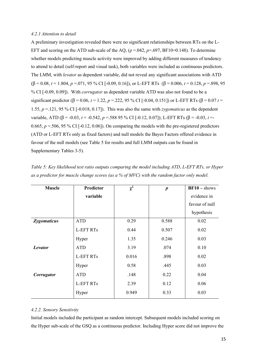## *4.2.1 Attention to detail*

A preliminary investigation revealed there were no significant relationships between RTs on the L-EFT and scoring on the ATD sub-scale of the AO, ( $\rho = 0.042$ ,  $p = .697$ , BF10=0.148). To determine whether models predicting muscle activity were improved by adding different measures of tendency to attend to detail (self-report and visual task), both variables were included as continuous predictors. The LMM, with *levator* as dependent variable, did not reveal any significant associations with ATD  $(\beta = 0.08, t = 1.804, p = .071, 95\% \text{ CI}$  [-0.09, 0.16]), or L-EFT RTs  $(\beta = 0.006, t = 0.128, p = .898, 95)$ % CI [-0.09, 0.09]). With *corrugator* as dependent variable ATD was also not found to be a significant predictor ( $\beta$  = 0.06, *t* = 1.22, *p* = 222, 95 % CI [-0.04, 0.151]) or L-EFT RTs ( $\beta$  = 0.07 *t* = 1.55, *p* =.121, 95 % CI [-0.018, 0.17]). This was also the same with *zygomaticus* as the dependent variable, ATD (β = -0.03, *t* = -0.542, *p* = .588 95 % CI [-0.12, 0.07]); L-EFT RTs (β = -0.03, *t* = -0.665,  $p = 506$ , 95 % CI [-0.12, 0.06]). On comparing the models with the pre-registered predictors (ATD or L-EFT RTs only as fixed factors) and null models the Bayes Factors offered evidence in favour of the null models (see Table 5 for results and full LMM outputs can be found in Supplementary Tables 3-5).

| <b>Muscle</b> | Predictor        | $\chi^2$ | $\boldsymbol{p}$ | $BF10 - shows$ |
|---------------|------------------|----------|------------------|----------------|
|               | variable         |          |                  | evidence in    |
|               |                  |          |                  | favour of null |
|               |                  |          |                  | hypothesis     |
| Zygomaticus   | <b>ATD</b>       | 0.29     | 0.588            | 0.02           |
|               | <b>L-EFT RTs</b> | 0.44     | 0.507            | 0.02           |
|               | Hyper            | 1.35     | 0.246            | 0.03           |
| Levator       | <b>ATD</b>       | 3.19     | .074             | 0.10           |
|               | <b>L-EFT RTs</b> | 0.016    | .898             | 0.02           |
|               | Hyper            | 0.58     | .445             | 0.03           |
| Corrugator    | <b>ATD</b>       | .148     | 0.22             | 0.04           |
|               | <b>L-EFT RTs</b> | 2.39     | 0.12             | 0.06           |
|               | Hyper            | 0.949    | 0.33             | 0.03           |

*Table 5: Key likelihood test ratio outputs comparing the model including ATD, L-EFT RTs, or Hyper as a predictor for muscle change scores (as a % of MVC) with the random factor only model.*

## *4.2.2. Sensory Sensitivity*

Initial models included the participant as random intercept. Subsequent models included scoring on the Hyper sub-scale of the GSQ as a continuous predictor. Including Hyper score did not improve the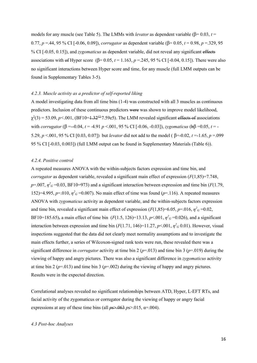models for any muscle (see Table 5). The LMMs with *levator* as dependent variable (β= 0.03, *t* = 0.77, *p* =.44, 95 % CI [-0.06, 0.09]), *corrugator* as dependent variable (β= 0.05, *t* = 0.98, *p* =.329, 95 % CI [-0.05, 0.15]), and *zygomaticus* as dependent variable, did not reveal any significant effects associations with of Hyper score  $(\beta = 0.05, t = 1.163, p = 0.245, 95\%$  CI [-0.04, 0.15]). There were also no significant interactions between Hyper score and time, for any muscle (full LMM outputs can be found in Supplementary Tables 3-5).

## *4.2.3. Muscle activity as a predictor of self-reported liking*

A model investigating data from all time bins (1-4) was constructed with all 3 muscles as continuous predictors. Inclusion of these continuous predictors were was shown to improve model likelihood,  $\chi^2(3)$  = 53.09, *p*<.001, (BF10=1.32<sup>12</sup>7.59e5). The LMM revealed significant effects of associations with *corrugator* (β =--0.04, *t* = 4.91 *p* <.001, 95 % CI [-0.06, -0.03]), *zygomaticus* (bβ =0.05, *t* = - 5.29, *p* <.001, 95 % CI [0.03, 0.07]) but *levator* did not add to the model ( β=-0.02, *t* =-1.65, *p* =.099 95 % CI [-0.03, 0.003]) (full LMM output can be found in Supplementary Materials (Table 6)).

## *4.2.4. Positive control*

A repeated measures ANOVA with the within-subjects factors expression and time bin, and *corrugator* as dependent variable, revealed a significant main effect of expression (*F*(1,85)=7.748,  $p=0.007$ ,  $\eta^2 G=0.03$ , BF10=973) and a significant interaction between expression and time bin (*F*(1.79, 152)=4.995,  $p=0.010$ ,  $\eta^2 G$  =0.007). No main effect of time was found ( $p=116$ ). A repeated measures ANOVA with *zygomaticus* activity as dependent variable, and the within-subjects factors expression and time bin, revealed a significant main effect of expression  $(F(1,85)=6.05, p=.016, \eta^2 G=0.02,$ BF10=185.65), a main effect of time bin  $(F(1.5, 126)=13.13, p<.001, \eta^2 G=0.026)$ , and a significant interaction between expression and time bin  $(F(1.71, 146)=11.27, p<.001, \eta^2 G 0.01)$ . However, visual inspections suggested that the data did not clearly meet normality assumptions and to investigate the main effects further, a series of Wilcoxon-signed rank tests were run, these revealed there was a significant difference in *corrugator* activity at time bin 2 (*p*=.013) and time bin 3 (*p*=.019) during the viewing of happy and angry pictures. There was also a significant difference in *zygomaticus* activity at time bin 2 ( $p=0.013$ ) and time bin 3 ( $p=0.002$ ) during the viewing of happy and angry pictures. Results were in the expected direction.

Correlational analyses revealed no significant relationships between ATD, Hyper, L-EFT RTs, and facial activity of the zygomaticus or corrugator during the viewing of happy or angry facial expressions at any of these time bins (all  $p s$ , 063  $p s$ , 015,  $\alpha$ =.004).

## *4.3 Post-hoc Analyses*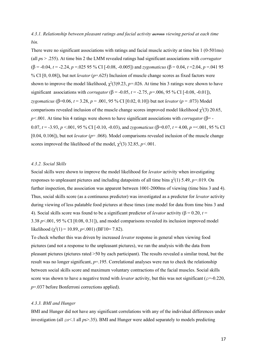*4.3.1. Relationship between pleasant ratings and facial activity across viewing period at each time bin.*

There were no significant associations with ratings and facial muscle activity at time bin 1 (0-501ms) (all *p*s > .255). At time bin 2 the LMM revealed ratings had significant associations with *corrugator* ( $\beta$  = -0.04, *t* = -2.24, *p* = 0.025 95 % CI [-0.08, -0.005]) and *zygomaticus* ( $\beta$  = 0.04, *t* = 2.04, *p* = 0.041 95 % CI [0, 0.08]), but not *levator* (*p*=.625) Inclusion of muscle change scores as fixed factors were shown to improve the model likelihood,  $\chi^2(3)9.23$ ,  $p=.026$ . At time bin 3 ratings were shown to have significant associations with *corrugator* ( $\beta$  = -0.05, *t* = -2.75, *p*=.006, 95 % CI [-0.08, -0.01]), *zygomaticus* (β=0.06, *t* = 3.28, *p* = .001, 95 % CI [0.02, 0.10]) but not *levator* (*p* = .073) Model comparisons revealed inclusion of the muscle change scores improved model likelihood  $\chi^2(3)$  20.65, *p<*.001. At time bin 4 ratings were shown to have significant associations with *corrugator* (β= - 0.07, *t* = -3.93, *p* <.001, 95 % CI [-0.10, -0.03), and *zygomaticus* (β=0.07, *t* = 4.00, *p* =<.001, 95 % CI [0.04, 0.106]), but not *levator* (*p*= .068). Model comparisons revealed inclusion of the muscle change scores improved the likelihood of the model,  $\chi^2(3)$  32.85,  $p<0.001$ .

## *4.3.2. Social Skills*

Social skills were shown to improve the model likelihood for *levator* activity when investigating responses to unpleasant pictures and including datapoints of all time bins  $\chi^2(1)$  5.49,  $p=019$ . On further inspection, the association was apparent between 1001-2000ms of viewing (time bins 3 and 4). Thus, social skills score (as a continuous predictor) was investigated as a predictor for *levator* activity during viewing of less palatable food pictures at these times (one model for data from time bins 3 and 4). Social skills score was found to be a significant predictor of *levator* activity (β = 0.20, *t* = 3.38 *p*<.001, 95 % CI [0.08, 0.31]), and model comparisons revealed its inclusion improved model likelihood ( $\chi^2(1) = 10.89$ ,  $p < .001$ ) (BF10= 7.82).

To check whether this was driven by increased *levator* response in general when viewing food pictures (and not a response to the unpleasant pictures), we ran the analysis with the data from pleasant pictures (pictures rated >50 by each participant). The results revealed a similar trend, but the result was no longer significant,  $p=195$ . Correlational analyses were run to check the relationship between social skills score and maximum voluntary contractions of the facial muscles. Social skills score was shown to have a negative trend with *levator* activity, but this was not significant ( $\rho = -0.220$ , *p*=.037 before Bonferroni corrections applied).

## *4.3.3. BMI and Hunger*

BMI and Hunger did not have any significant correlations with any of the individual differences under investigation (all ρ*s*<.1 all *p*s>.35). BMI and Hunger were added separately to models predicting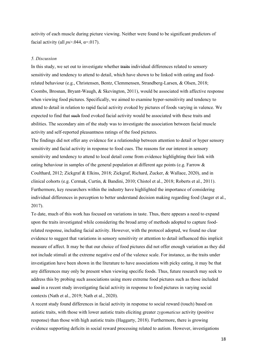activity of each muscle during picture viewing. Neither were found to be significant predictors of facial activity (all  $ps > 0.044$ ,  $\alpha = 0.017$ ).

#### *5. Discussion*

In this study, we set out to investigate whether traits individual differences related to sensory sensitivity and tendency to attend to detail, which have shown to be linked with eating and foodrelated behaviour (e.g., Christensen, Bentz, Clemmensen, Strandberg‐Larsen, & Olsen, 2018; Coombs, Brosnan, Bryant‐Waugh, & Skevington, 2011), would be associated with affective response when viewing food pictures. Specifically, we aimed to examine hyper-sensitivity and tendency to attend to detail in relation to rapid facial activity evoked by pictures of foods varying in valence. We expected to find that such food evoked facial activity would be associated with these traits and abilities. The secondary aim of the study was to investigate the association between facial muscle activity and self-reported pleasantness ratings of the food pictures.

The findings did not offer any evidence for a relationship between attention to detail or hyper sensory sensitivity and facial activity in response to food cues. The reasons for our interest in sensory sensitivity and tendency to attend to local detail come from evidence highlighting their link with eating behaviour in samples of the general population at different age points (e.g. Farrow & Coulthard, 2012; Zickgraf & Elkins, 2018; Zickgraf, Richard, Zucker, & Wallace, 2020), and in clinical cohorts (e.g. Cermak, Curtin, & Bandini, 2010; Chistol et al., 2018; Roberts et al., 2011). Furthermore, key researchers within the industry have highlighted the importance of considering individual differences in perception to better understand decision making regarding food (Jaeger et al., 2017).

To date, much of this work has focused on variations in taste. Thus, there appears a need to expand upon the traits investigated while considering the broad array of methods adopted to capture foodrelated response, including facial activity. However, with the protocol adopted, we found no clear evidence to suggest that variations in sensory sensitivity or attention to detail influenced this implicit measure of affect. It may be that our choice of food pictures did not offer enough variation as they did not include stimuli at the extreme negative end of the valence scale. For instance, as the traits under investigation have been shown in the literature to have associations with picky eating, it may be that any differences may only be present when viewing specific foods. Thus, future research may seek to address this by probing such associations using more extreme food pictures such as those included used in a recent study investigating facial activity in response to food pictures in varying social contexts (Nath et al., 2019; Nath et al., 2020).

A recent study found differences in facial activity in response to social reward (touch) based on autistic traits, with those with lower autistic traits eliciting greater *zygomaticus* activity (positive response) than those with high autistic traits (Haggarty, 2018). Furthermore, there is growing evidence supporting deficits in social reward processing related to autism. However, investigations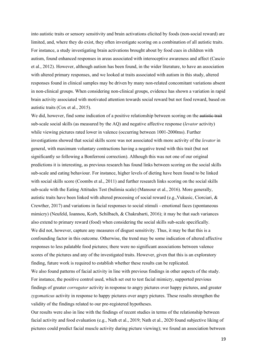into autistic traits or sensory sensitivity and brain activations elicited by foods (non-social reward) are limited, and, where they do exist, they often investigate scoring on a combination of all autistic traits. For instance, a study investigating brain activations brought about by food cues in children with autism, found enhanced responses in areas associated with interoceptive awareness and affect (Cascio et al., 2012). However, although autism has been found, in the wider literature, to have an association with altered primary responses, and we looked at traits associated with autism in this study, altered responses found in clinical samples may be driven by many non-related concomitant variations absent in non-clinical groups. When considering non-clinical groups, evidence has shown a variation in rapid brain activity associated with motivated attention towards social reward but not food reward, based on autistic traits (Cox et al., 2015).

We did, however, find some indication of a positive relationship between scoring on the autistic trait sub-scale social skills (as measured by the AQ) and negative affective response (*levator* activity) while viewing pictures rated lower in valence (occurring between 1001-2000ms). Further investigations showed that social skills score was not associated with more activity of the *levator* in general, with maximum voluntary contractions having a negative trend with this trait (but not significantly so following a Bonferroni correction). Although this was not one of our original predictions it is interesting, as previous research has found links between scoring on the social skills sub-scale and eating behaviour. For instance, higher levels of dieting have been found to be linked with social skills score (Coombs et al., 2011) and further research links scoring on the social skills sub-scale with the Eating Attitudes Test (bulimia scale) (Mansour et al., 2016). More generally, autistic traits have been linked with altered processing of social reward (e.g.,Vukusic, Ciorciari, & Crewther, 2017) and variations in facial responses to social stimuli - emotional faces (spontaneous mimicry) (Neufeld, Ioannou, Korb, Schilbach, & Chakrabarti, 2016); it may be that such variances also extend to primary reward (food) when considering the social skills sub-scale specifically. We did not, however, capture any measures of disgust sensitivity. Thus, it may be that this is a confounding factor in this outcome. Otherwise, the trend may be some indication of altered affective responses to less palatable food pictures; there were no significant associations between valence scores of the pictures and any of the investigated traits. However, given that this is an exploratory finding, future work is required to establish whether these results can be replicated.

We also found patterns of facial activity in line with previous findings in other aspects of the study. For instance, the positive control used, which set out to test facial mimicry, supported previous findings of greater *corrugator* activity in response to angry pictures over happy pictures, and greater *zygomaticus* activity in response to happy pictures over angry pictures. These results strengthen the validity of the findings related to our pre-registered hypotheses.

Our results were also in line with the findings of recent studies in terms of the relationship between facial activity and food evaluation (e.g., Nath et al., 2019; Nath et al., 2020 found subjective liking of pictures could predict facial muscle activity during picture viewing); we found an association between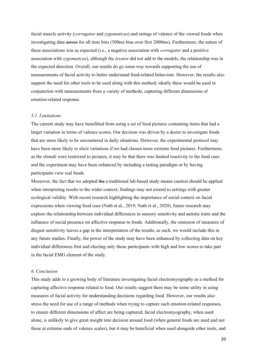facial muscle activity (*corrugator* and *zygomaticus*) and ratings of valence of the viewed foods when investigating data across for all time bins (500ms bins over first 2000ms). Furthermore, the nature of these associations was as expected (i.e., a negative association with *corrugator* and a positive association with *zygomaticus*), although the *levator* did not add to the models, the relationship was in the expected direction. Overall, our results do go some way towards supporting the use of measurements of facial activity to better understand food-related behaviour. However, the results also support the need for other tools to be used along with this method; ideally these would be used in conjunction with measurements from a variety of methods, capturing different dimensions of emotion-related response.

#### *5.1. Limitations*

The current study may have benefitted from using a set of food pictures containing items that had a larger variation in terms of valence scores. Our decision was driven by a desire to investigate foods that are more likely to be encountered in daily situations. However, the experimental protocol may have been more likely to elicit variations if we had chosen more extreme food pictures. Furthermore, as the stimuli were restricted to pictures, it may be that there was limited reactivity to the food cues and the experiment may have been enhanced by including a tasting paradigm or by having participants view real foods.

Moreover, the fact that we adopted the a traditional lab-based study means caution should be applied when interpreting results to the wider context; findings may not extend to settings with greater ecological validity. With recent research highlighting the importance of social context on facial expressions when viewing food cues (Nath et al., 2019; Nath et al., 2020), future research may explore the relationship between individual differences in sensory sensitivity and autistic traits and the influence of social presence on affective response to foods. Additionally, the omission of measures of disgust sensitivity leaves a gap in the interpretation of the results; as such, we would include this in any future studies. Finally, the power of the study may have been enhanced by collecting data on key individual differences first and electing only those participants with high and low scores to take part in the facial EMG element of the study.

#### *6. Conclusion*

This study adds to a growing body of literature investigating facial electromyography as a method for capturing affective response related to food. Our results suggest there may be some utility in using measures of facial activity for understanding decisions regarding food. However, our results also stress the need for use of a range of methods when trying to capture such emotion-related responses, to ensure different dimensions of affect are being captured; facial electromyography, when used alone, is unlikely to give great insight into decision around food (when general foods are used and not those at extreme ends of valence scales), but it may be beneficial when used alongside other tools, and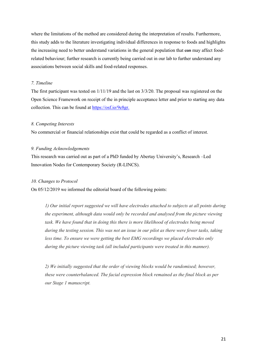where the limitations of the method are considered during the interpretation of results. Furthermore, this study adds to the literature investigating individual differences in response to foods and highlights the increasing need to better understand variations in the general population that ean may affect foodrelated behaviour; further research is currently being carried out in our lab to further understand any associations between social skills and food-related responses.

## *7. Timeline*

The first participant was tested on 1/11/19 and the last on 3/3/20. The proposal was registered on the Open Science Framework on receipt of the in principle acceptance letter and prior to starting any data collection. This can be found at [https://osf.io/9e8gr.](https://osf.io/9e8gr)

#### *8. Competing Interests*

No commercial or financial relationships exist that could be regarded as a conflict of interest.

## *9. Funding Acknowledgements*

This research was carried out as part of a PhD funded by Abertay University's, Research –Led Innovation Nodes for Contemporary Society (R-LINCS).

#### *10. Changes to Protocol*

On 05/12/2019 we informed the editorial board of the following points:

*1) Our initial report suggested we will have electrodes attached to subjects at all points during the experiment, although data would only be recorded and analysed from the picture viewing task. We have found that in doing this there is more likelihood of electrodes being moved during the testing session. This was not an issue in our pilot as there were fewer tasks, taking less time. To ensure we were getting the best EMG recordings we placed electrodes only during the picture viewing task (all included participants were treated in this manner).*

*2) We initially suggested that the order of viewing blocks would be randomised; however, these were counterbalanced. The facial expression block remained as the final block as per our Stage 1 manuscript.*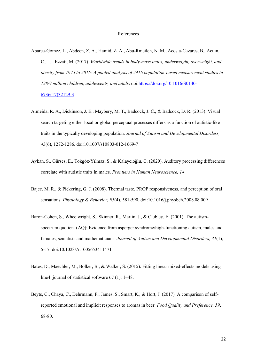#### References

- Abarca-Gómez, L., Abdeen, Z. A., Hamid, Z. A., Abu-Rmeileh, N. M., Acosta-Cazares, B., Acuin, C., . . . Ezzati, M. (2017). *Worldwide trends in body-mass index, underweight, overweight, and obesity from 1975 to 2016: A pooled analysis of 2416 population-based measurement studies in 128·9 million children, adolescents, and adults* doi[:https://doi.org/10.1016/S0140-](https://doi.org/10.1016/S0140-6736(17)32129-3) [6736\(17\)32129-3](https://doi.org/10.1016/S0140-6736(17)32129-3)
- Almeida, R. A., Dickinson, J. E., Maybery, M. T., Badcock, J. C., & Badcock, D. R. (2013). Visual search targeting either local or global perceptual processes differs as a function of autistic-like traits in the typically developing population. *Journal of Autism and Developmental Disorders, 43*(6), 1272-1286. doi:10.1007/s10803-012-1669-7
- Aykan, S., Gürses, E., Tokgöz-Yılmaz, S., & Kalaycıoğlu, C. (2020). Auditory processing differences correlate with autistic traits in males. *Frontiers in Human Neuroscience, 14*
- Bajec, M. R., & Pickering, G. J. (2008). Thermal taste, PROP responsiveness, and perception of oral sensations. *Physiology & Behavior, 95*(4), 581-590. doi:10.1016/j.physbeh.2008.08.009
- Baron-Cohen, S., Wheelwright, S., Skinner, R., Martin, J., & Clubley, E. (2001). The autismspectrum quotient (AQ): Evidence from asperger syndrome/high-functioning autism, males and females, scientists and mathematicians. *Journal of Autism and Developmental Disorders, 31*(1), 5-17. doi:10.1023/A:1005653411471
- Bates, D., Maechler, M., Bolker, B., & Walker, S. (2015). Fitting linear mixed‐effects models using lme4. journal of statistical software 67 (1): 1–48.
- Beyts, C., Chaya, C., Dehrmann, F., James, S., Smart, K., & Hort, J. (2017). A comparison of selfreported emotional and implicit responses to aromas in beer. *Food Quality and Preference, 59*, 68-80.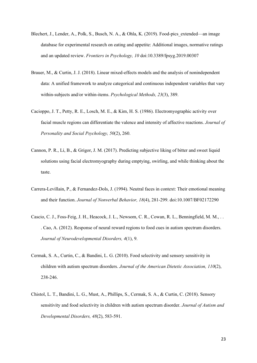- Blechert, J., Lender, A., Polk, S., Busch, N. A., & Ohla, K. (2019). Food-pics\_extended—an image database for experimental research on eating and appetite: Additional images, normative ratings and an updated review. *Frontiers in Psychology, 10* doi:10.3389/fpsyg.2019.00307
- Brauer, M., & Curtin, J. J. (2018). Linear mixed-effects models and the analysis of nonindependent data: A unified framework to analyze categorical and continuous independent variables that vary within-subjects and/or within-items. *Psychological Methods, 23*(3), 389.
- Cacioppo, J. T., Petty, R. E., Losch, M. E., & Kim, H. S. (1986). Electromyographic activity over facial muscle regions can differentiate the valence and intensity of affective reactions. *Journal of Personality and Social Psychology, 50*(2), 260.
- Cannon, P. R., Li, B., & Grigor, J. M. (2017). Predicting subjective liking of bitter and sweet liquid solutions using facial electromyography during emptying, swirling, and while thinking about the taste.
- Carrera-Levillain, P., & Fernandez-Dols, J. (1994). Neutral faces in context: Their emotional meaning and their function. *Journal of Nonverbal Behavior, 18*(4), 281-299. doi:10.1007/BF02172290
- Cascio, C. J., Foss-Feig, J. H., Heacock, J. L., Newsom, C. R., Cowan, R. L., Benningfield, M. M., . . . Cao, A. (2012). Response of neural reward regions to food cues in autism spectrum disorders. *Journal of Neurodevelopmental Disorders, 4*(1), 9.
- Cermak, S. A., Curtin, C., & Bandini, L. G. (2010). Food selectivity and sensory sensitivity in children with autism spectrum disorders. *Journal of the American Dietetic Association, 110*(2), 238-246.
- Chistol, L. T., Bandini, L. G., Must, A., Phillips, S., Cermak, S. A., & Curtin, C. (2018). Sensory sensitivity and food selectivity in children with autism spectrum disorder. *Journal of Autism and Developmental Disorders, 48*(2), 583-591.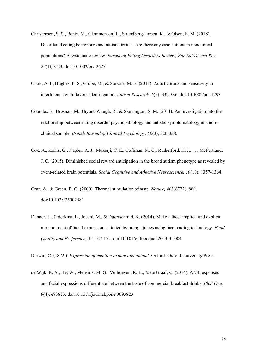- Christensen, S. S., Bentz, M., Clemmensen, L., Strandberg‐Larsen, K., & Olsen, E. M. (2018). Disordered eating behaviours and autistic traits—Are there any associations in nonclinical populations? A systematic review. *European Eating Disorders Review; Eur Eat Disord Rev, 27*(1), 8-23. doi:10.1002/erv.2627
- Clark, A. I., Hughes, P. S., Grube, M., & Stewart, M. E. (2013). Autistic traits and sensitivity to interference with flavour identification. *Autism Research, 6*(5), 332-336. doi:10.1002/aur.1293
- Coombs, E., Brosnan, M., Bryant‐Waugh, R., & Skevington, S. M. (2011). An investigation into the relationship between eating disorder psychopathology and autistic symptomatology in a nonclinical sample. *British Journal of Clinical Psychology, 50*(3), 326-338.
- Cox, A., Kohls, G., Naples, A. J., Mukerji, C. E., Coffman, M. C., Rutherford, H. J., . . . McPartland, J. C. (2015). Diminished social reward anticipation in the broad autism phenotype as revealed by event-related brain potentials. *Social Cognitive and Affective Neuroscience, 10*(10), 1357-1364.
- Cruz, A., & Green, B. G. (2000). Thermal stimulation of taste. *Nature, 403*(6772), 889. doi:10.1038/35002581
- Danner, L., Sidorkina, L., Joechl, M., & Duerrschmid, K. (2014). Make a face! implicit and explicit measurement of facial expressions elicited by orange juices using face reading technology. *Food Quality and Preference, 32*, 167-172. doi:10.1016/j.foodqual.2013.01.004

Darwin, C. (1872.). *Expression of emotion in man and animal*. Oxford: Oxford University Press.

de Wijk, R. A., He, W., Mensink, M. G., Verhoeven, R. H., & de Graaf, C. (2014). ANS responses and facial expressions differentiate between the taste of commercial breakfast drinks. *PloS One, 9*(4), e93823. doi:10.1371/journal.pone.0093823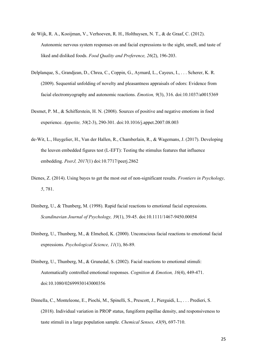- de Wijk, R. A., Kooijman, V., Verhoeven, R. H., Holthuysen, N. T., & de Graaf, C. (2012). Autonomic nervous system responses on and facial expressions to the sight, smell, and taste of liked and disliked foods. *Food Quality and Preference, 26*(2), 196-203.
- Delplanque, S., Grandjean, D., Chrea, C., Coppin, G., Aymard, L., Cayeux, I., . . . Scherer, K. R. (2009). Sequential unfolding of novelty and pleasantness appraisals of odors: Evidence from facial electromyography and autonomic reactions. *Emotion, 9*(3), 316. doi:10.1037/a0015369
- Desmet, P. M., & Schifferstein, H. N. (2008). Sources of positive and negative emotions in food experience. *Appetite, 50*(2-3), 290-301. doi:10.1016/j.appet.2007.08.003
- de-Wit, L., Huygelier, H., Van der Hallen, R., Chamberlain, R., & Wagemans, J. (2017). Developing the leuven embedded figures test (L-EFT): Testing the stimulus features that influence embedding. *PeerJ, 2017*(1) doi:10.7717/peerj.2862
- Dienes, Z. (2014). Using bayes to get the most out of non-significant results. *Frontiers in Psychology, 5*, 781.
- Dimberg, U., & Thunberg, M. (1998). Rapid facial reactions to emotional facial expressions. *Scandinavian Journal of Psychology, 39*(1), 39-45. doi:10.1111/1467-9450.00054
- Dimberg, U., Thunberg, M., & Elmehed, K. (2000). Unconscious facial reactions to emotional facial expressions. *Psychological Science, 11*(1), 86-89.
- Dimberg, U., Thunberg, M., & Grunedal, S. (2002). Facial reactions to emotional stimuli: Automatically controlled emotional responses. *Cognition & Emotion, 16*(4), 449-471. doi:10.1080/02699930143000356
- Dinnella, C., Monteleone, E., Piochi, M., Spinelli, S., Prescott, J., Pierguidi, L., . . . Predieri, S. (2018). Individual variation in PROP status, fungiform papillae density, and responsiveness to taste stimuli in a large population sample. *Chemical Senses, 43*(9), 697-710.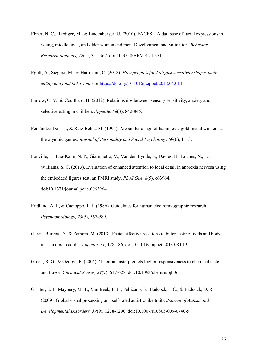- Ebner, N. C., Riediger, M., & Lindenberger, U. (2010). FACES—A database of facial expressions in young, middle-aged, and older women and men: Development and validation. *Behavior Research Methods, 42*(1), 351-362. doi:10.3758/BRM.42.1.351
- Egolf, A., Siegrist, M., & Hartmann, C. (2018). *How people's food disgust sensitivity shapes their*  eating and food behaviour doi: https://doi.org/10.1016/j.appet.2018.04.014
- Farrow, C. V., & Coulthard, H. (2012). Relationships between sensory sensitivity, anxiety and selective eating in children. *Appetite, 58*(3), 842-846.
- Fernández-Dols, J., & Ruiz-Belda, M. (1995). Are smiles a sign of happiness? gold medal winners at the olympic games. *Journal of Personality and Social Psychology, 69*(6), 1113.
- Fonville, L., Lao-Kaim, N. P., Giampietro, V., Van den Eynde, F., Davies, H., Lounes, N., . . . Williams, S. C. (2013). Evaluation of enhanced attention to local detail in anorexia nervosa using the embedded figures test; an FMRI study. *PLoS One, 8*(5), e63964. doi:10.1371/journal.pone.0063964
- Fridlund, A. J., & Cacioppo, J. T. (1986). Guidelines for human electromyographic research. *Psychophysiology, 23*(5), 567-589.
- Garcia-Burgos, D., & Zamora, M. (2013). Facial affective reactions to bitter-tasting foods and body mass index in adults. *Appetite, 71*, 178-186. doi:10.1016/j.appet.2013.08.013
- Green, B. G., & George, P. (2004). 'Thermal taste'predicts higher responsiveness to chemical taste and flavor. *Chemical Senses, 29*(7), 617-628. doi:10.1093/chemse/bjh065
- Grinter, E. J., Maybery, M. T., Van Beek, P. L., Pellicano, E., Badcock, J. C., & Badcock, D. R. (2009). Global visual processing and self-rated autistic-like traits. *Journal of Autism and Developmental Disorders, 39*(9), 1278-1290. doi:10.1007/s10803-009-0740-5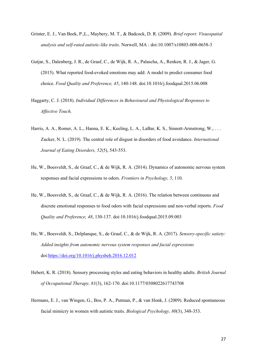- Grinter, E. J., Van Beek, P.,L., Maybery, M. T., & Badcock, D. R. (2009). *Brief report: Visuospatial analysis and self-rated autistic-like traits*. Norwell, MA : doi:10.1007/s10803-008-0658-3
- Gutjar, S., Dalenberg, J. R., de Graaf, C., de Wijk, R. A., Palascha, A., Renken, R. J., & Jager, G. (2015). What reported food-evoked emotions may add: A model to predict consumer food choice. *Food Quality and Preference, 45*, 140-148. doi:10.1016/j.foodqual.2015.06.008
- Haggarty, C. J. (2018). *Individual Differences in Behavioural and Physiological Responses to Affective Touch,*
- Harris, A. A., Romer, A. L., Hanna, E. K., Keeling, L. A., LaBar, K. S., Sinnott-Armstrong, W., ... Zucker, N. L. (2019). The central role of disgust in disorders of food avoidance. *International Journal of Eating Disorders, 52*(5), 543-553.
- He, W., Boesveldt, S., de Graaf, C., & de Wijk, R. A. (2014). Dynamics of autonomic nervous system responses and facial expressions to odors. *Frontiers in Psychology, 5*, 110.
- He, W., Boesveldt, S., de Graaf, C., & de Wijk, R. A. (2016). The relation between continuous and discrete emotional responses to food odors with facial expressions and non-verbal reports. *Food Quality and Preference, 48*, 130-137. doi:10.1016/j.foodqual.2015.09.003
- He, W., Boesveldt, S., Delplanque, S., de Graaf, C., & de Wijk, R. A. (2017). *Sensory-specific satiety: Added insights from autonomic nervous system responses and facial expressions* doi[:https://doi.org/10.1016/j.physbeh.2016.12.012](https://doi.org/10.1016/j.physbeh.2016.12.012)
- Hebert, K. R. (2018). Sensory processing styles and eating behaviors in healthy adults. *British Journal of Occupational Therapy, 81*(3), 162-170. doi:10.1177/0308022617743708
- Hermans, E. J., van Wingen, G., Bos, P. A., Putman, P., & van Honk, J. (2009). Reduced spontaneous facial mimicry in women with autistic traits. *Biological Psychology, 80*(3), 348-353.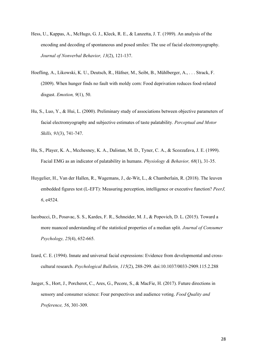- Hess, U., Kappas, A., McHugo, G. J., Kleck, R. E., & Lanzetta, J. T. (1989). An analysis of the encoding and decoding of spontaneous and posed smiles: The use of facial electromyography. *Journal of Nonverbal Behavior, 13*(2), 121-137.
- Hoefling, A., Likowski, K. U., Deutsch, R., Häfner, M., Seibt, B., Mühlberger, A., . . . Strack, F. (2009). When hunger finds no fault with moldy corn: Food deprivation reduces food-related disgust. *Emotion, 9*(1), 50.
- Hu, S., Luo, Y., & Hui, L. (2000). Preliminary study of associations between objective parameters of facial electromyography and subjective estimates of taste palatability. *Perceptual and Motor Skills, 91*(3), 741-747.
- Hu, S., Player, K. A., Mcchesney, K. A., Dalistan, M. D., Tyner, C. A., & Scozzafava, J. E. (1999). Facial EMG as an indicator of palatability in humans. *Physiology & Behavior, 68*(1), 31-35.
- Huygelier, H., Van der Hallen, R., Wagemans, J., de-Wit, L., & Chamberlain, R. (2018). The leuven embedded figures test (L-EFT): Measuring perception, intelligence or executive function? *PeerJ, 6*, e4524.
- Iacobucci, D., Posavac, S. S., Kardes, F. R., Schneider, M. J., & Popovich, D. L. (2015). Toward a more nuanced understanding of the statistical properties of a median split. *Journal of Consumer Psychology, 25*(4), 652-665.
- Izard, C. E. (1994). Innate and universal facial expressions: Evidence from developmental and crosscultural research. *Psychological Bulletin, 115*(2), 288-299. doi:10.1037/0033-2909.115.2.288
- Jaeger, S., Hort, J., Porcherot, C., Ares, G., Pecore, S., & MacFie, H. (2017). Future directions in sensory and consumer science: Four perspectives and audience voting. *Food Quality and Preference, 56*, 301-309.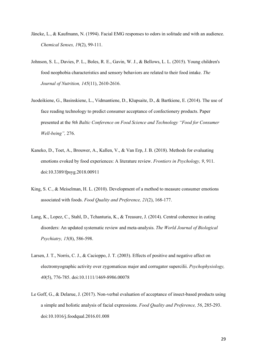- Jäncke, L., & Kaufmann, N. (1994). Facial EMG responses to odors in solitude and with an audience. *Chemical Senses, 19*(2), 99-111.
- Johnson, S. L., Davies, P. L., Boles, R. E., Gavin, W. J., & Bellows, L. L. (2015). Young children's food neophobia characteristics and sensory behaviors are related to their food intake. *The Journal of Nutrition, 145*(11), 2610-2616.
- Juodeikiene, G., Basinskiene, L., Vidmantiene, D., Klupsaite, D., & Bartkiene, E. (2014). The use of face reading technology to predict consumer acceptance of confectionery products. Paper presented at the *9th Baltic Conference on Food Science and Technology "Food for Consumer Well-being",* 276.
- Kaneko, D., Toet, A., Brouwer, A., Kallen, V., & Van Erp, J. B. (2018). Methods for evaluating emotions evoked by food experiences: A literature review. *Frontiers in Psychology, 9*, 911. doi:10.3389/fpsyg.2018.00911
- King, S. C., & Meiselman, H. L. (2010). Development of a method to measure consumer emotions associated with foods. *Food Quality and Preference, 21*(2), 168-177.
- Lang, K., Lopez, C., Stahl, D., Tchanturia, K., & Treasure, J. (2014). Central coherence in eating disorders: An updated systematic review and meta-analysis. *The World Journal of Biological Psychiatry, 15*(8), 586-598.
- Larsen, J. T., Norris, C. J., & Cacioppo, J. T. (2003). Effects of positive and negative affect on electromyographic activity over zygomaticus major and corrugator supercilii. *Psychophysiology, 40*(5), 776-785. doi:10.1111/1469-8986.00078
- Le Goff, G., & Delarue, J. (2017). Non-verbal evaluation of acceptance of insect-based products using a simple and holistic analysis of facial expressions. *Food Quality and Preference, 56*, 285-293. doi:10.1016/j.foodqual.2016.01.008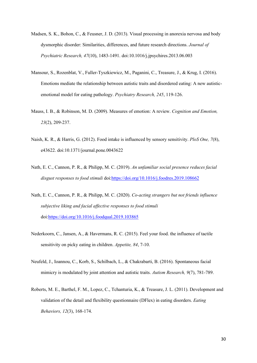- Madsen, S. K., Bohon, C., & Feusner, J. D. (2013). Visual processing in anorexia nervosa and body dysmorphic disorder: Similarities, differences, and future research directions. *Journal of Psychiatric Research, 47*(10), 1483-1491. doi:10.1016/j.jpsychires.2013.06.003
- Mansour, S., Rozenblat, V., Fuller-Tyszkiewicz, M., Paganini, C., Treasure, J., & Krug, I. (2016). Emotions mediate the relationship between autistic traits and disordered eating: A new autisticemotional model for eating pathology. *Psychiatry Research, 245*, 119-126.
- Mauss, I. B., & Robinson, M. D. (2009). Measures of emotion: A review. *Cognition and Emotion, 23*(2), 209-237.
- Naish, K. R., & Harris, G. (2012). Food intake is influenced by sensory sensitivity. *PloS One, 7*(8), e43622. doi:10.1371/journal.pone.0043622
- Nath, E. C., Cannon, P. R., & Philipp, M. C. (2019). *An unfamiliar social presence reduces facial disgust responses to food stimuli* doi[:https://doi.org/10.1016/j.foodres.2019.108662](https://doi.org/10.1016/j.foodres.2019.108662)
- Nath, E. C., Cannon, P. R., & Philipp, M. C. (2020). *Co-acting strangers but not friends influence subjective liking and facial affective responses to food stimuli* doi[:https://doi.org/10.1016/j.foodqual.2019.103865](https://doi.org/10.1016/j.foodqual.2019.103865)
- Nederkoorn, C., Jansen, A., & Havermans, R. C. (2015). Feel your food. the influence of tactile sensitivity on picky eating in children. *Appetite, 84*, 7-10.
- Neufeld, J., Ioannou, C., Korb, S., Schilbach, L., & Chakrabarti, B. (2016). Spontaneous facial mimicry is modulated by joint attention and autistic traits. *Autism Research, 9*(7), 781-789.
- Roberts, M. E., Barthel, F. M., Lopez, C., Tchanturia, K., & Treasure, J. L. (2011). Development and validation of the detail and flexibility questionnaire (DFlex) in eating disorders. *Eating Behaviors, 12*(3), 168-174.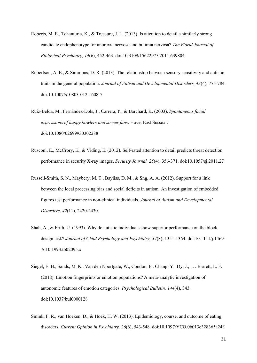- Roberts, M. E., Tchanturia, K., & Treasure, J. L. (2013). Is attention to detail a similarly strong candidate endophenotype for anorexia nervosa and bulimia nervosa? *The World Journal of Biological Psychiatry, 14*(6), 452-463. doi:10.3109/15622975.2011.639804
- Robertson, A. E., & Simmons, D. R. (2013). The relationship between sensory sensitivity and autistic traits in the general population. *Journal of Autism and Developmental Disorders, 43*(4), 775-784. doi:10.1007/s10803-012-1608-7
- Ruiz-Belda, M., Fernández-Dols, J., Carrera, P., & Barchard, K. (2003). *Spontaneous facial expressions of happy bowlers and soccer fans*. Hove, East Sussex : doi:10.1080/02699930302288
- Rusconi, E., McCrory, E., & Viding, E. (2012). Self-rated attention to detail predicts threat detection performance in security X-ray images. *Security Journal, 25*(4), 356-371. doi:10.1057/sj.2011.27
- Russell-Smith, S. N., Maybery, M. T., Bayliss, D. M., & Sng, A. A. (2012). Support for a link between the local processing bias and social deficits in autism: An investigation of embedded figures test performance in non-clinical individuals. *Journal of Autism and Developmental Disorders, 42*(11), 2420-2430.
- Shah, A., & Frith, U. (1993). Why do autistic individuals show superior performance on the block design task? *Journal of Child Psychology and Psychiatry, 34*(8), 1351-1364. doi:10.1111/j.1469- 7610.1993.tb02095.x
- Siegel, E. H., Sands, M. K., Van den Noortgate, W., Condon, P., Chang, Y., Dy, J., . . . Barrett, L. F. (2018). Emotion fingerprints or emotion populations? A meta-analytic investigation of autonomic features of emotion categories. *Psychological Bulletin, 144*(4), 343. doi:10.1037/bul0000128
- Smink, F. R., van Hoeken, D., & Hoek, H. W. (2013). Epidemiology, course, and outcome of eating disorders. *Current Opinion in Psychiatry, 26*(6), 543-548. doi:10.1097/YCO.0b013e328365a24f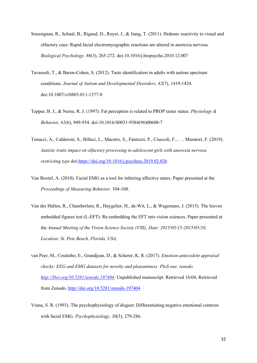- Soussignan, R., Schaal, B., Rigaud, D., Royet, J., & Jiang, T. (2011). Hedonic reactivity to visual and olfactory cues: Rapid facial electromyographic reactions are altered in anorexia nervosa. *Biological Psychology, 86*(3), 265-272. doi:10.1016/j.biopsycho.2010.12.007
- Tavassoli, T., & Baron-Cohen, S. (2012). Taste identification in adults with autism spectrum conditions. *Journal of Autism and Developmental Disorders, 42*(7), 1419-1424. doi:10.1007/s10803-011-1377-8
- Tepper, B. J., & Nurse, R. J. (1997). Fat perception is related to PROP taster status. *Physiology & Behavior, 61*(6), 949-954. doi:10.1016/S0031-9384(96)00608-7
- Tonacci, A., Calderoni, S., Billeci, L., Maestro, S., Fantozzi, P., Ciuccoli, F., . . . Muratori, F. (2019). *Autistic traits impact on olfactory processing in adolescent girls with anorexia nervosa restricting type* doi[:https://doi.org/10.1016/j.psychres.2019.02.026](https://doi.org/10.1016/j.psychres.2019.02.026)
- Van Boxtel, A. (2010). Facial EMG as a tool for inferring affective states. Paper presented at the *Proceedings of Measuring Behavior,* 104-108.
- Van der Hallen, R., Chamberlain, R., Huygelier, H., de-Wit, L., & Wagemans, J. (2015). The leuven embedded figures test (L-EFT): Re-embedding the EFT into vision sciences. Paper presented at the *Annual Meeting of the Vision Science Society (VSS), Date: 2015/05/15-2015/05/20, Location: St. Pete Beach, Florida, USA,*
- van Peer, M., Coutinho, E., Grandjean, D., & Scherer, K. R. (2017). *Emotion-antecedent appraisal checks: EEG and EMG datasets for novelty and pleasantness PloS one. zenodo. [http://Doi.org/10.5281/zenodo.197404.](http://doi.org/10.5281/zenodo.197404)* Unpublished manuscript. Retrieved 16/04, Retrieved from Zenodo[. http://doi.org/10.5281/zenodo.197404](http://doi.org/10.5281/zenodo.197404)
- Vrana, S. R. (1993). The psychophysiology of disgust: Differentiating negative emotional contexts with facial EMG. *Psychophysiology, 30*(3), 279-286.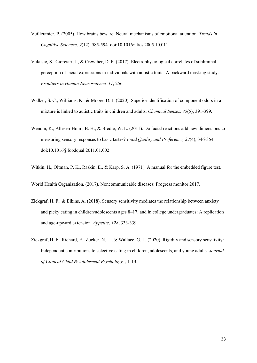- Vuilleumier, P. (2005). How brains beware: Neural mechanisms of emotional attention. *Trends in Cognitive Sciences, 9*(12), 585-594. doi:10.1016/j.tics.2005.10.011
- Vukusic, S., Ciorciari, J., & Crewther, D. P. (2017). Electrophysiological correlates of subliminal perception of facial expressions in individuals with autistic traits: A backward masking study. *Frontiers in Human Neuroscience, 11*, 256.
- Walker, S. C., Williams, K., & Moore, D. J. (2020). Superior identification of component odors in a mixture is linked to autistic traits in children and adults. *Chemical Senses, 45*(5), 391-399.
- Wendin, K., Allesen-Holm, B. H., & Bredie, W. L. (2011). Do facial reactions add new dimensions to measuring sensory responses to basic tastes? *Food Quality and Preference, 22*(4), 346-354. doi:10.1016/j.foodqual.2011.01.002
- Witkin, H., Oltman, P. K., Raskin, E., & Karp, S. A. (1971). A manual for the embedded figure test.

World Health Organization. (2017). Noncommunicable diseases: Progress monitor 2017.

- Zickgraf, H. F., & Elkins, A. (2018). Sensory sensitivity mediates the relationship between anxiety and picky eating in children/adolescents ages 8–17, and in college undergraduates: A replication and age-upward extension. *Appetite, 128*, 333-339.
- Zickgraf, H. F., Richard, E., Zucker, N. L., & Wallace, G. L. (2020). Rigidity and sensory sensitivity: Independent contributions to selective eating in children, adolescents, and young adults. *Journal of Clinical Child & Adolescent Psychology,* , 1-13.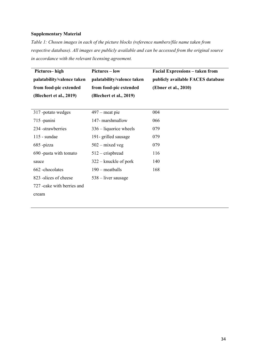## **Supplementary Material**

*Table 1: Chosen images in each of the picture blocks (reference numbers/file name taken from respective database). All images are publicly available and can be accessed from the original source in accordance with the relevant licensing agreement.*

| Pictures-high               | <b>Pictures – low</b>      | <b>Facial Expressions - taken from</b> |
|-----------------------------|----------------------------|----------------------------------------|
| palatability/valence taken  | palatability/valence taken | publicly available FACES database      |
| from food-pic extended      | from food-pic extended     | (Ebner et al., 2010)                   |
| (Blechert et al., 2019)     | (Blechert et al., 2019)    |                                        |
|                             |                            |                                        |
| 317 -potato wedges          | $497$ – meat pie           | 004                                    |
| 715 -panini                 | 147- marshmallow           | 066                                    |
| 234 -strawberries           | $336 -$ liquorice wheels   | 079                                    |
| $115$ - sundae              | 191- grilled sausage       | 079                                    |
| 685 -pizza                  | $502 -$ mixed veg          | 079                                    |
| 690 -pasta with tomato      | $512$ – crispbread         | 116                                    |
| sauce                       | $322 -$ knuckle of pork    | 140                                    |
| 662 -chocolates             | $190$ – meatballs          | 168                                    |
| 823 - slices of cheese      | $538 -$ liver sausage      |                                        |
| 727 - cake with berries and |                            |                                        |
| cream                       |                            |                                        |
|                             |                            |                                        |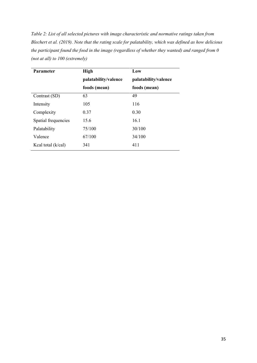*Table 2: List of all selected pictures with image characteristic and normative ratings taken from Blechert et al. (2019). Note that the rating scale for palatability, which was defined as how delicious the participant found the food in the image (regardless of whether they wanted) and ranged from 0 (not at all) to 100 (extremely)*

| <b>Parameter</b>    | <b>High</b>          | Low                  |
|---------------------|----------------------|----------------------|
|                     | palatability/valence | palatability/valence |
|                     | foods (mean)         | foods (mean)         |
| Contrast (SD)       | 63                   | 49                   |
| Intensity           | 105                  | 116                  |
| Complexity          | 0.37                 | 0.30                 |
| Spatial frequencies | 15.6                 | 16.1                 |
| Palatability        | 75/100               | 30/100               |
| Valence             | 67/100               | 34/100               |
| Keal total (k/cal)  | 341                  | 411                  |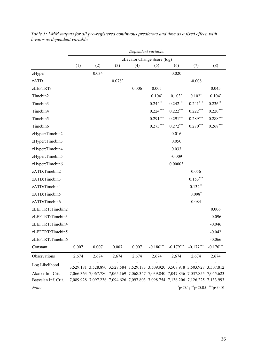|                     | Dependent variable: |                                                                                 |          |       |                             |             |             |                               |
|---------------------|---------------------|---------------------------------------------------------------------------------|----------|-------|-----------------------------|-------------|-------------|-------------------------------|
|                     |                     |                                                                                 |          |       | zLevator Change Score (log) |             |             |                               |
|                     | (1)                 | (2)                                                                             | (3)      | (4)   | (5)                         | (6)         | (7)         | (8)                           |
| zHyper              |                     | 0.034                                                                           |          |       |                             | 0.020       |             |                               |
| zATD                |                     |                                                                                 | $0.078*$ |       |                             |             | $-0.008$    |                               |
| <b>zLEFTRTs</b>     |                     |                                                                                 |          | 0.006 | 0.005                       |             |             | 0.045                         |
| Timebin2            |                     |                                                                                 |          |       | $0.104*$                    | $0.103*$    | $0.102*$    | $0.104*$                      |
| Timebin3            |                     |                                                                                 |          |       | $0.244***$                  | $0.242***$  | $0.241***$  | $0.236***$                    |
| Timebin4            |                     |                                                                                 |          |       | $0.224***$                  | $0.222***$  | $0.222***$  | $0.220***$                    |
| Timebin5            |                     |                                                                                 |          |       | $0.291***$                  | $0.291***$  | $0.289***$  | $0.288***$                    |
| Timebin6            |                     |                                                                                 |          |       | $0.273***$                  | $0.272***$  | $0.270***$  | $0.268***$                    |
| zHyper:Timebin2     |                     |                                                                                 |          |       |                             | 0.016       |             |                               |
| zHyper:Timebin3     |                     |                                                                                 |          |       |                             | 0.050       |             |                               |
| zHyper:Timebin4     |                     |                                                                                 |          |       |                             | 0.033       |             |                               |
| zHyper:Timebin5     |                     |                                                                                 |          |       |                             | $-0.009$    |             |                               |
| zHyper:Timebin6     |                     |                                                                                 |          |       |                             | 0.00003     |             |                               |
| zATD:Timebin2       |                     |                                                                                 |          |       |                             |             | 0.056       |                               |
| zATD:Timebin3       |                     |                                                                                 |          |       |                             |             | $0.153***$  |                               |
| zATD:Timebin4       |                     |                                                                                 |          |       |                             |             | $0.132**$   |                               |
| zATD:Timebin5       |                     |                                                                                 |          |       |                             |             | $0.098*$    |                               |
| zATD:Timebin6       |                     |                                                                                 |          |       |                             |             | 0.084       |                               |
| zLEFTRT:Timebin2    |                     |                                                                                 |          |       |                             |             |             | 0.006                         |
| zLEFTRT:Timebin3    |                     |                                                                                 |          |       |                             |             |             | $-0.096$                      |
| zLEFTRT:Timebin4    |                     |                                                                                 |          |       |                             |             |             | $-0.046$                      |
| zLEFTRT:Timebin5    |                     |                                                                                 |          |       |                             |             |             | $-0.042$                      |
| zLEFTRT:Timebin6    |                     |                                                                                 |          |       |                             |             |             | $-0.066$                      |
| Constant            | 0.007               | 0.007                                                                           | 0.007    | 0.007 | $-0.180***$                 | $-0.179***$ | $-0.177***$ | $-0.176***$                   |
| Observations        | 2,674               | 2,674                                                                           | 2,674    | 2,674 | 2,674                       | 2,674       | 2,674       | 2,674                         |
| Log Likelihood      |                     | 3,529.181 3,528.890 3,527.584 3,529.173 3,509.920 3,508.918 3,503.927 3,507.812 |          |       |                             |             |             |                               |
| Akaike Inf. Crit.   |                     | 7,066.363 7,067.780 7,065.169 7,068.347 7,039.840 7,047.836 7,037.855 7,045.623 |          |       |                             |             |             |                               |
| Bayesian Inf. Crit. |                     | 7,089.928 7,097.236 7,094.626 7,097.803 7,098.754 7,136.206 7,126.225 7,133.993 |          |       |                             |             |             |                               |
| Note:               |                     |                                                                                 |          |       |                             |             |             | $p<0.1$ ; **p<0.05; ***p<0.01 |

*Table 3: LMM outputs for all pre-registered continuous predictors and time as a fixed effect, with levator as dependent variable*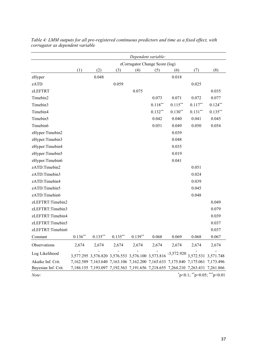|                     | Dependent variable: |                                                   |            |                                |            |                                                                                 |            |                               |
|---------------------|---------------------|---------------------------------------------------|------------|--------------------------------|------------|---------------------------------------------------------------------------------|------------|-------------------------------|
|                     |                     |                                                   |            | zCorrugator Change Score (log) |            |                                                                                 |            |                               |
|                     | (1)                 | (2)                                               | (3)        | (4)                            | (5)        | (6)                                                                             | (7)        | (8)                           |
| zHyper              |                     | 0.048                                             |            |                                |            | 0.018                                                                           |            |                               |
| zATD                |                     |                                                   | 0.059      |                                |            |                                                                                 | 0.025      |                               |
| zLEFTRT             |                     |                                                   |            | 0.075                          |            |                                                                                 |            | 0.035                         |
| Timebin2            |                     |                                                   |            |                                | 0.073      | 0.071                                                                           | 0.072      | 0.077                         |
| Timebin3            |                     |                                                   |            |                                | $0.118***$ | $0.115***$                                                                      | $0.117***$ | $0.124***$                    |
| Timebin4            |                     |                                                   |            |                                | $0.132**$  | $0.130**$                                                                       | $0.131***$ | $0.135***$                    |
| Timebin5            |                     |                                                   |            |                                | 0.042      | 0.040                                                                           | 0.041      | 0.045                         |
| Timebin6            |                     |                                                   |            |                                | 0.051      | 0.049                                                                           | 0.050      | 0.054                         |
| zHyper:Timebin2     |                     |                                                   |            |                                |            | 0.039                                                                           |            |                               |
| zHyper:Timebin3     |                     |                                                   |            |                                |            | 0.048                                                                           |            |                               |
| zHyper:Timebin4     |                     |                                                   |            |                                |            | 0.035                                                                           |            |                               |
| zHyper:Timebin5     |                     |                                                   |            |                                |            | 0.019                                                                           |            |                               |
| zHyper:Timebin6     |                     |                                                   |            |                                |            | 0.041                                                                           |            |                               |
| zATD:Timebin2       |                     |                                                   |            |                                |            |                                                                                 | 0.051      |                               |
| zATD:Timebin3       |                     |                                                   |            |                                |            |                                                                                 | 0.024      |                               |
| zATD:Timebin4       |                     |                                                   |            |                                |            |                                                                                 | 0.039      |                               |
| zATD:Timebin5       |                     |                                                   |            |                                |            |                                                                                 | 0.045      |                               |
| zATD:Timebin6       |                     |                                                   |            |                                |            |                                                                                 | 0.048      |                               |
| zLEFTRT:Timebin2    |                     |                                                   |            |                                |            |                                                                                 |            | 0.049                         |
| zLEFTRT:Timebin3    |                     |                                                   |            |                                |            |                                                                                 |            | 0.079                         |
| zLEFTRT:Timebin4    |                     |                                                   |            |                                |            |                                                                                 |            | 0.039                         |
| zLEFTRT:Timebin5    |                     |                                                   |            |                                |            |                                                                                 |            | 0.037                         |
| zLEFTRT:Timebin6    |                     |                                                   |            |                                |            |                                                                                 |            | 0.037                         |
| Constant            | $0.136**$           | $0.135***$                                        | $0.135***$ | $0.139**$                      | 0.068      | 0.069                                                                           | 0.068      | 0.067                         |
| Observations        | 2,674               | 2,674                                             | 2,674      | 2,674                          | 2,674      | 2,674                                                                           | 2,674      | 2,674                         |
| Log Likelihood      |                     | 3,577.295 3,576.820 3,576.553 3,576.100 3,573.816 |            |                                |            | $-3,572.920$ 3,572.531 3,571.748                                                |            |                               |
| Akaike Inf. Crit.   |                     |                                                   |            |                                |            | 7,162.589 7,163.640 7,163.106 7,162.200 7,165.633 7,175.840 7,175.061 7,173.496 |            |                               |
| Bayesian Inf. Crit. |                     |                                                   |            |                                |            | 7,186.155 7,193.097 7,192.563 7,191.656 7,218.655 7,264.210 7,263.431 7,261.866 |            |                               |
| Note:               |                     |                                                   |            |                                |            |                                                                                 |            | $p<0.1$ ; **p<0.05; ***p<0.01 |

*Table 4: LMM outputs for all pre-registered continuous predictors and time as a fixed effect, with corrugator as dependent variable*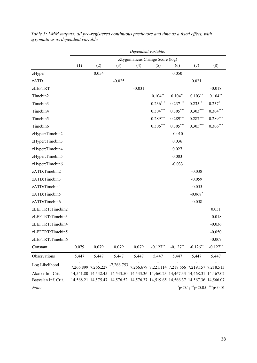|                     | Dependent variable: |                     |                                                                                 |                                 |                                                   |            |             |            |
|---------------------|---------------------|---------------------|---------------------------------------------------------------------------------|---------------------------------|---------------------------------------------------|------------|-------------|------------|
|                     |                     |                     |                                                                                 | zZygomaticus Change Score (log) |                                                   |            |             |            |
|                     | (1)                 | (2)                 | (3)                                                                             | (4)                             | (5)                                               | (6)        | (7)         | (8)        |
| zHyper              |                     | 0.054               |                                                                                 |                                 |                                                   | 0.050      |             |            |
| zATD                |                     |                     | $-0.025$                                                                        |                                 |                                                   |            | 0.021       |            |
| <b>zLEFTRT</b>      |                     |                     |                                                                                 | $-0.031$                        |                                                   |            |             | $-0.018$   |
| Timebin2            |                     |                     |                                                                                 |                                 | $0.104**$                                         | $0.104***$ | $0.103**$   | $0.104**$  |
| Timebin3            |                     |                     |                                                                                 |                                 | $0.236***$                                        | $0.237***$ | $0.235***$  | $0.237***$ |
| Timebin4            |                     |                     |                                                                                 |                                 | $0.304***$                                        | $0.305***$ | $0.303***$  | $0.304***$ |
| Timebin5            |                     |                     |                                                                                 |                                 | $0.289***$                                        | $0.289***$ | $0.287***$  | $0.289***$ |
| Timebin6            |                     |                     |                                                                                 |                                 | $0.306***$                                        | $0.305***$ | $0.305***$  | $0.306***$ |
| zHyper:Timebin2     |                     |                     |                                                                                 |                                 |                                                   | $-0.010$   |             |            |
| zHyper:Timebin3     |                     |                     |                                                                                 |                                 |                                                   | 0.036      |             |            |
| zHyper:Timebin4     |                     |                     |                                                                                 |                                 |                                                   | 0.027      |             |            |
| zHyper:Timebin5     |                     |                     |                                                                                 |                                 |                                                   | 0.003      |             |            |
| zHyper:Timebin6     |                     |                     |                                                                                 |                                 |                                                   | $-0.033$   |             |            |
| zATD:Timebin2       |                     |                     |                                                                                 |                                 |                                                   |            | $-0.038$    |            |
| zATD:Timebin3       |                     |                     |                                                                                 |                                 |                                                   |            | $-0.059$    |            |
| zATD:Timebin4       |                     |                     |                                                                                 |                                 |                                                   |            | $-0.055$    |            |
| zATD:Timebin5       |                     |                     |                                                                                 |                                 |                                                   |            | $-0.068*$   |            |
| zATD:Timebin6       |                     |                     |                                                                                 |                                 |                                                   |            | $-0.058$    |            |
| zLEFTRT:Timebin2    |                     |                     |                                                                                 |                                 |                                                   |            |             | 0.031      |
| zLEFTRT:Timebin3    |                     |                     |                                                                                 |                                 |                                                   |            |             | $-0.018$   |
| zLEFTRT:Timebin4    |                     |                     |                                                                                 |                                 |                                                   |            |             | $-0.036$   |
| zLEFTRT:Timebin5    |                     |                     |                                                                                 |                                 |                                                   |            |             | $-0.050$   |
| zLEFTRT:Timebin6    |                     |                     |                                                                                 |                                 |                                                   |            |             | $-0.007$   |
| Constant            | 0.079               | 0.079               | 0.079                                                                           | 0.079                           | $-0.127**$                                        | $-0.127**$ | $-0.126$ ** | $-0.127**$ |
| Observations        | 5,447               | 5,447               | 5,447                                                                           | 5,447                           | 5,447                                             | 5,447      | 5,447       | 5,447      |
| Log Likelihood      |                     | 7,266.899 7,266.227 | $-7,266.753$                                                                    |                                 | 7,266.679 7,221.114 7,218.666 7,219.157 7,218.513 |            |             |            |
| Akaike Inf. Crit.   |                     |                     | 14,541.80 14,542.45 14,543.50 14,543.36 14,460.23 14,467.33 14,468.31 14,467.02 |                                 |                                                   |            |             |            |
| Bayesian Inf. Crit. |                     |                     | 14,568.21 14,575.47 14,576.52 14,576.37 14,519.65 14,566.37 14,567.36 14,566.07 |                                 |                                                   |            |             |            |

*Table 5: LMM outputs: all pre-registered continuous predictors and time as a fixed effect, with zygomaticus as dependent variable*

*Note:* \*p<0.1; \*\*p<0.05; \*\*\*p<0.01